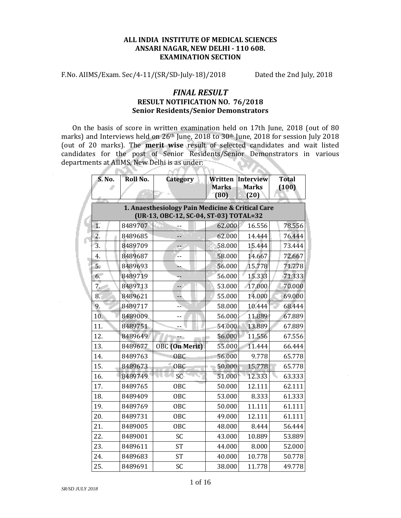## **ALL INDIA INSTITUTE OF MEDICAL SCIENCES ANSARI NAGAR, NEW DELHI 110 608. EXAMINATION SECTION**

F.No. AIIMS/Exam. Sec/4‐11/(SR/SD‐July‐18)/2018 Dated the 2nd July, 2018

## *FINAL RESULT* **RESULT NOTIFICATION NO. 76/2018 Senior Residents/Senior Demonstrators**

On the basis of score in written examination held on 17th June, 2018 (out of 80 marks) and Interviews held on 26th June, 2018 to 30th June, 2018 for session July 2018 (out of 20 marks). The **merit wise** result of selected candidates and wait listed candidates for the post of Senior Residents/Senior Demonstrators in various departments at AIIMS, New Delhi is as under:

ኤት

| S. No. | Roll No. | <b>Category</b>                                                                            | Written<br><b>Marks</b><br>(80) | <b>Interview</b><br><b>Marks</b><br>(20) | <b>Total</b><br>(100) |
|--------|----------|--------------------------------------------------------------------------------------------|---------------------------------|------------------------------------------|-----------------------|
|        |          | 1. Anaesthesiology Pain Medicine & Critical Care<br>(UR-13, OBC-12, SC-04, ST-03) TOTAL=32 |                                 |                                          |                       |
| 1.     | 8489707  |                                                                                            | 62.000                          | 16.556                                   | 78.556                |
| 2.     | 8489685  |                                                                                            | 62.000                          | 14.444                                   | 76.444                |
| 3.     | 8489709  | εt.                                                                                        | 58.000                          | 15.444                                   | 73.444                |
| 4.     | 8489687  |                                                                                            | 58.000                          | 14.667                                   | 72.667                |
| 5.     | 8489693  |                                                                                            | 56.000                          | 15.778                                   | 71.778                |
| 6.     | 8489719  |                                                                                            | 56.000                          | 15.333                                   | 71.333                |
| 7.     | 8489713  | $-$                                                                                        | 53.000                          | 17.000                                   | 70.000                |
| 8.     | 8489621  | --                                                                                         | 55.000                          | 14.000                                   | 69.000                |
| 9.     | 8489717  |                                                                                            | 58.000                          | 10.444                                   | 68.444                |
| 10.    | 8489009  | --                                                                                         | 56.000                          | 11.889                                   | 67.889                |
| 11.    | 8489751  |                                                                                            | 54.000                          | 13.889                                   | 67.889                |
| 12.    | 8489649  |                                                                                            | 56.000                          | 11.556                                   | 67.556                |
| 13.    | 8489677  | <b>OBC</b> (On Merit)                                                                      | 55.000                          | 11.444                                   | 66.444                |
| 14.    | 8489763  | <b>OBC</b>                                                                                 | 56.000                          | 9.778                                    | 65.778                |
| 15.    | 8489673  | <b>OBC</b>                                                                                 | 50.000                          | 15.778                                   | 65.778                |
| 16.    | 8489749  | SC                                                                                         | 51.000                          | 12.333                                   | 63.333                |
| 17.    | 8489765  | <b>OBC</b>                                                                                 | 50.000                          | 12.111                                   | 62.111                |
| 18.    | 8489409  | OBC                                                                                        | 53.000                          | 8.333                                    | 61.333                |
| 19.    | 8489769  | <b>OBC</b>                                                                                 | 50.000                          | 11.111                                   | 61.111                |
| 20.    | 8489731  | <b>OBC</b>                                                                                 | 49.000                          | 12.111                                   | 61.111                |
| 21.    | 8489005  | <b>OBC</b>                                                                                 | 48.000                          | 8.444                                    | 56.444                |
| 22.    | 8489001  | <b>SC</b>                                                                                  | 43.000                          | 10.889                                   | 53.889                |
| 23.    | 8489611  | <b>ST</b>                                                                                  | 44.000                          | 8.000                                    | 52.000                |
| 24.    | 8489683  | <b>ST</b>                                                                                  | 40.000                          | 10.778                                   | 50.778                |
| 25.    | 8489691  | SC                                                                                         | 38.000                          | 11.778                                   | 49.778                |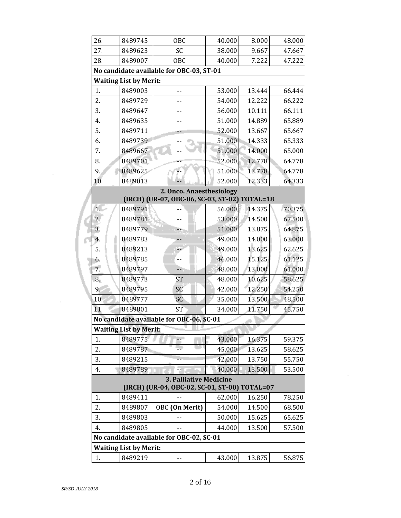| 26.                                                                     | 8489745                       | <b>OBC</b>                                                                | 40.000 | 8.000  | 48.000 |  |  |  |  |
|-------------------------------------------------------------------------|-------------------------------|---------------------------------------------------------------------------|--------|--------|--------|--|--|--|--|
| 27.                                                                     | 8489623                       | SC                                                                        | 38.000 | 9.667  | 47.667 |  |  |  |  |
| 28.                                                                     | 8489007                       | <b>OBC</b>                                                                | 40.000 | 7.222  | 47.222 |  |  |  |  |
| No candidate available for OBC-03, ST-01                                |                               |                                                                           |        |        |        |  |  |  |  |
|                                                                         | <b>Waiting List by Merit:</b> |                                                                           |        |        |        |  |  |  |  |
| 1.                                                                      | 8489003                       | --                                                                        | 53.000 | 13.444 | 66.444 |  |  |  |  |
| 2.                                                                      | 8489729                       |                                                                           | 54.000 | 12.222 | 66.222 |  |  |  |  |
| 3.                                                                      | 8489647                       |                                                                           | 56.000 | 10.111 | 66.111 |  |  |  |  |
| 4.                                                                      | 8489635                       |                                                                           | 51.000 | 14.889 | 65.889 |  |  |  |  |
| 5.                                                                      | 8489711                       |                                                                           | 52.000 | 13.667 | 65.667 |  |  |  |  |
| 6.                                                                      | 8489739                       |                                                                           | 51.000 | 14.333 | 65.333 |  |  |  |  |
| 7.                                                                      | 8489667                       |                                                                           | 51.000 | 14.000 | 65.000 |  |  |  |  |
| 8.                                                                      | 8489701                       |                                                                           | 52.000 | 12.778 | 64.778 |  |  |  |  |
| 9.                                                                      | 8489625                       |                                                                           | 51.000 | 13.778 | 64.778 |  |  |  |  |
| 10.                                                                     | 8489013                       |                                                                           | 52.000 | 12.333 | 64.333 |  |  |  |  |
|                                                                         |                               | 2. Onco. Anaesthesiology<br>(IRCH) (UR-07, OBC-06, SC-03, ST-02) TOTAL=18 |        |        |        |  |  |  |  |
| 1.                                                                      | 8489791                       |                                                                           | 56.000 | 14.375 | 70.375 |  |  |  |  |
| 2.                                                                      | 8489781                       |                                                                           | 53.000 | 14.500 | 67.500 |  |  |  |  |
| 3.                                                                      | 8489779                       | ۰.                                                                        | 51.000 | 13.875 | 64.875 |  |  |  |  |
| 4.                                                                      | 8489783                       | --                                                                        | 49.000 | 14.000 | 63.000 |  |  |  |  |
| 5.                                                                      | 8489213                       | ×.                                                                        | 49.000 | 13.625 | 62.625 |  |  |  |  |
| 6.                                                                      | 8489785                       |                                                                           | 46.000 | 15.125 | 61.125 |  |  |  |  |
| 7.                                                                      | 8489797                       | --                                                                        | 48.000 | 13.000 | 61.000 |  |  |  |  |
| 8.                                                                      | 8489773                       | <b>ST</b>                                                                 | 48.000 | 10.625 | 58.625 |  |  |  |  |
| 9.                                                                      | 8489795                       | SC                                                                        | 42.000 | 12.250 | 54.250 |  |  |  |  |
| 10.                                                                     | 8489777                       | SC                                                                        | 35.000 | 13.500 | 48.500 |  |  |  |  |
| 11.                                                                     | 8489801                       | ST                                                                        | 34.000 | 11.750 | 45.750 |  |  |  |  |
|                                                                         |                               | No candidate available for OBC-06, SC-01                                  |        |        |        |  |  |  |  |
|                                                                         | <b>Waiting List by Merit:</b> |                                                                           |        |        |        |  |  |  |  |
| 1.                                                                      | 8489775                       |                                                                           | 43.000 | 16.375 | 59.375 |  |  |  |  |
| 2.                                                                      | 8489787                       |                                                                           | 45.000 | 13.625 | 58.625 |  |  |  |  |
| 3.                                                                      | 8489215                       |                                                                           | 42.000 | 13.750 | 55.750 |  |  |  |  |
| 4.                                                                      | 8489789                       |                                                                           | 40.000 | 13.500 | 53.500 |  |  |  |  |
| 3. Palliative Medicine<br>(IRCH) (UR-04, OBC-02, SC-01, ST-00) TOTAL=07 |                               |                                                                           |        |        |        |  |  |  |  |
| 1.                                                                      | 8489411                       |                                                                           | 62.000 | 16.250 | 78.250 |  |  |  |  |
| 2.                                                                      | 8489807                       | <b>OBC</b> (On Merit)                                                     | 54.000 | 14.500 | 68.500 |  |  |  |  |
| 3.                                                                      | 8489803                       |                                                                           | 50.000 | 15.625 | 65.625 |  |  |  |  |
| 4.                                                                      | 8489805                       |                                                                           | 44.000 | 13.500 | 57.500 |  |  |  |  |
|                                                                         |                               | No candidate available for OBC-02, SC-01                                  |        |        |        |  |  |  |  |
|                                                                         | <b>Waiting List by Merit:</b> |                                                                           |        |        |        |  |  |  |  |
| 1.                                                                      | 8489219                       |                                                                           | 43.000 | 13.875 | 56.875 |  |  |  |  |

J.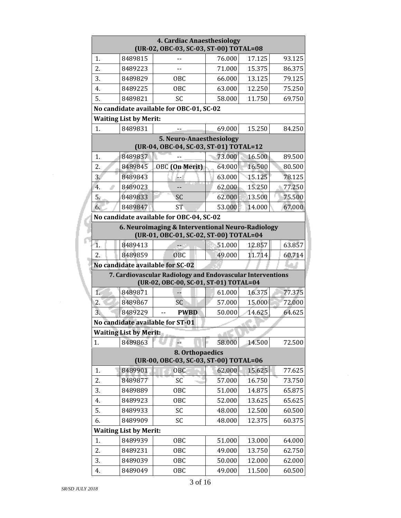| 4. Cardiac Anaesthesiology<br>(UR-02, OBC-03, SC-03, ST-00) TOTAL=08 |                                          |                                                                                                      |        |        |        |  |  |  |  |  |
|----------------------------------------------------------------------|------------------------------------------|------------------------------------------------------------------------------------------------------|--------|--------|--------|--|--|--|--|--|
| 1.<br>8489815<br>17.125<br>76.000<br>93.125                          |                                          |                                                                                                      |        |        |        |  |  |  |  |  |
| 2.                                                                   | 8489223                                  |                                                                                                      | 71.000 | 15.375 | 86.375 |  |  |  |  |  |
| 3.                                                                   | 8489829                                  | <b>OBC</b>                                                                                           | 66.000 | 13.125 | 79.125 |  |  |  |  |  |
| 4.                                                                   | 8489225                                  | OBC                                                                                                  | 63.000 | 12.250 | 75.250 |  |  |  |  |  |
| 5.                                                                   | 8489821                                  | SC                                                                                                   | 58.000 | 11.750 | 69.750 |  |  |  |  |  |
|                                                                      |                                          | No candidate available for OBC-01, SC-02                                                             |        |        |        |  |  |  |  |  |
| <b>Waiting List by Merit:</b>                                        |                                          |                                                                                                      |        |        |        |  |  |  |  |  |
| 1.                                                                   | 8489831                                  |                                                                                                      | 69.000 | 15.250 | 84.250 |  |  |  |  |  |
| 5. Neuro-Anaesthesiology<br>(UR-04, OBC-04, SC-03, ST-01) TOTAL=12   |                                          |                                                                                                      |        |        |        |  |  |  |  |  |
| 1.                                                                   | 8489837                                  |                                                                                                      | 73.000 | 16.500 | 89.500 |  |  |  |  |  |
| 2.                                                                   | 8489845                                  | <b>OBC</b> (On Merit)                                                                                | 64.000 | 16.500 | 80.500 |  |  |  |  |  |
| 3.                                                                   | 8489843                                  |                                                                                                      | 63.000 | 15.125 | 78.125 |  |  |  |  |  |
| 4.                                                                   | 8489023                                  |                                                                                                      | 62.000 | 15.250 | 77.250 |  |  |  |  |  |
| 5.5                                                                  | 8489833                                  | SC                                                                                                   | 62.000 | 13.500 | 75.500 |  |  |  |  |  |
| 6.                                                                   | 8489847                                  | <b>ST</b>                                                                                            | 53.000 | 14.000 | 67.000 |  |  |  |  |  |
|                                                                      | No candidate available for OBC-04, SC-02 |                                                                                                      |        |        |        |  |  |  |  |  |
|                                                                      |                                          | 6. Neuroimaging & Interventional Neuro-Radiology<br>(UR-01, OBC-01, SC-02, ST-00) TOTAL=04           |        |        |        |  |  |  |  |  |
| 1.                                                                   | 8489413                                  |                                                                                                      | 51.000 | 12.857 | 63.857 |  |  |  |  |  |
| 2.                                                                   | 8489859                                  | <b>OBC</b>                                                                                           | 49.000 | 11.714 | 60.714 |  |  |  |  |  |
|                                                                      |                                          | No candidate available for SC-02                                                                     |        |        |        |  |  |  |  |  |
|                                                                      |                                          | 7. Cardiovascular Radiology and Endovascular Interventions<br>(UR-02, OBC-00, SC-01, ST-01) TOTAL=04 |        |        |        |  |  |  |  |  |
| 1.                                                                   | 8489871                                  |                                                                                                      | 61.000 | 16.375 | 77.375 |  |  |  |  |  |
| 2.                                                                   | 8489867                                  | SC                                                                                                   | 57.000 | 15.000 | 72.000 |  |  |  |  |  |
| $\overline{3}$ .                                                     | 8489229                                  | <b>PWBD</b><br>$\overline{a}$                                                                        | 50.000 | 14.625 | 64.625 |  |  |  |  |  |
|                                                                      |                                          | No candidate available for ST-01                                                                     |        |        |        |  |  |  |  |  |
|                                                                      | <b>Waiting List by Merit:</b>            |                                                                                                      |        |        |        |  |  |  |  |  |
| 1.                                                                   | 8489863                                  |                                                                                                      | 58.000 | 14.500 | 72.500 |  |  |  |  |  |
|                                                                      |                                          | 8. Orthopaedics<br>(UR-00, OBC-03, SC-03, ST-00) TOTAL=06                                            |        |        |        |  |  |  |  |  |
| 1.                                                                   | 8489901                                  | <b>OBC</b>                                                                                           | 62.000 | 15.625 | 77.625 |  |  |  |  |  |
| 2.                                                                   | 8489877                                  | SC                                                                                                   | 57.000 | 16.750 | 73.750 |  |  |  |  |  |
| 3.                                                                   | 8489889                                  | 0 <sub>BC</sub>                                                                                      | 51.000 | 14.875 | 65.875 |  |  |  |  |  |
| 4.                                                                   | 8489923                                  | <b>OBC</b>                                                                                           | 52.000 | 13.625 | 65.625 |  |  |  |  |  |
| 5.                                                                   | 8489933                                  | SC                                                                                                   | 48.000 | 12.500 | 60.500 |  |  |  |  |  |
| 6.                                                                   | 8489909                                  | SC                                                                                                   | 48.000 | 12.375 | 60.375 |  |  |  |  |  |
|                                                                      | <b>Waiting List by Merit:</b>            |                                                                                                      |        |        |        |  |  |  |  |  |
| 1.                                                                   | 8489939                                  | OBC                                                                                                  | 51.000 | 13.000 | 64.000 |  |  |  |  |  |
| 2.                                                                   | 8489231                                  | <b>OBC</b>                                                                                           | 49.000 | 13.750 | 62.750 |  |  |  |  |  |
| 3.                                                                   | 8489039                                  | <b>OBC</b>                                                                                           | 50.000 | 12.000 | 62.000 |  |  |  |  |  |
| 4.                                                                   | 8489049                                  | <b>OBC</b>                                                                                           | 49.000 | 11.500 | 60.500 |  |  |  |  |  |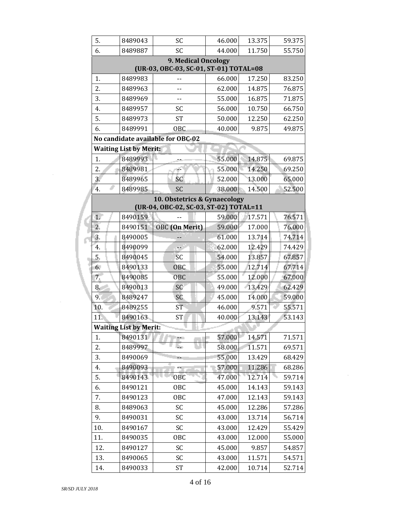| 5.       | 8489043                       | SC                                     | 46.000           | 13.375           | 59.375           |  |  |  |  |  |
|----------|-------------------------------|----------------------------------------|------------------|------------------|------------------|--|--|--|--|--|
| 6.       | 8489887                       | <b>SC</b>                              | 44.000           | 11.750           | 55.750           |  |  |  |  |  |
|          | 9. Medical Oncology           |                                        |                  |                  |                  |  |  |  |  |  |
|          |                               | (UR-03, OBC-03, SC-01, ST-01) TOTAL=08 |                  |                  |                  |  |  |  |  |  |
| 1.       | 8489983                       |                                        | 66.000           | 17.250           | 83.250           |  |  |  |  |  |
| 2.       | 8489963                       | $-$                                    | 62.000           | 14.875           | 76.875           |  |  |  |  |  |
| 3.       | 8489969                       | $-$                                    | 55.000           | 16.875           | 71.875           |  |  |  |  |  |
| 4.       | 8489957                       | SC                                     | 56.000           | 10.750           | 66.750           |  |  |  |  |  |
| 5.       | 8489973                       | <b>ST</b>                              | 50.000           | 12.250           | 62.250           |  |  |  |  |  |
| 6.       | 8489991                       | <b>OBC</b>                             | 40.000           | 9.875            | 49.875           |  |  |  |  |  |
|          |                               | No candidate available for OBC-02      |                  |                  |                  |  |  |  |  |  |
|          | <b>Waiting List by Merit:</b> |                                        |                  |                  |                  |  |  |  |  |  |
| 1.       | 8489993                       |                                        | 55.000           | 14.875           | 69.875           |  |  |  |  |  |
| 2.       | 8489981                       |                                        | 55.000           | 14.250           | 69.250           |  |  |  |  |  |
| 3.       | 8489965                       | SC                                     | 52.000           | 13.000           | 65.000           |  |  |  |  |  |
| 4.       | 8489985                       | SC                                     | 38.000           | 14.500           | 52.500           |  |  |  |  |  |
|          |                               | 10. Obstetrics & Gynaecology           |                  |                  |                  |  |  |  |  |  |
|          |                               | (UR-04, OBC-02, SC-03, ST-02) TOTAL=11 |                  |                  |                  |  |  |  |  |  |
| 1.       | 8490159                       |                                        | 59.000           | 17.571           | 76.571           |  |  |  |  |  |
| 2.       | 8490151                       | <b>OBC</b> (On Merit)                  | 59.000           | 17.000           | 76.000           |  |  |  |  |  |
| 3.       | 8490005                       |                                        | 61.000           | 13.714           | 74.714           |  |  |  |  |  |
| 4.<br>5. | 8490099<br>8490045            | ÷                                      | 62.000<br>54.000 | 12.429<br>13.857 | 74.429           |  |  |  |  |  |
|          | 8490133                       | SC                                     | 55.000           |                  | 67.857<br>67.714 |  |  |  |  |  |
| 6.       | 8490085                       | <b>OBC</b>                             | 55.000           | 12.714<br>12.000 | 67.000           |  |  |  |  |  |
| 7.<br>8. | 8490013                       | <b>OBC</b><br>SC                       | 49.000           | 13.429           | 62.429           |  |  |  |  |  |
| 9.       | 8489247                       | SC                                     | 45.000           | 14.000           | 59.000           |  |  |  |  |  |
| 10.      | 8489255                       | ST                                     | 46.000           | 9.571            | 55.571           |  |  |  |  |  |
| 11.      | 8490163                       | <b>ST</b>                              | 40.000           | 13.143           | 53.143           |  |  |  |  |  |
|          | <b>Waiting List by Merit:</b> |                                        |                  |                  |                  |  |  |  |  |  |
| 1.       | 8490131                       | н.                                     | 57.000           | 14.571           | 71.571           |  |  |  |  |  |
| 2.       | 8489997                       |                                        | 58.000           | 11.571           | 69.571           |  |  |  |  |  |
| 3.       | 8490069                       |                                        | 55.000           | 13.429           | 68.429           |  |  |  |  |  |
| 4.       | 8490093                       |                                        | 57.000           | 11.286           | 68.286           |  |  |  |  |  |
| 5.       | 8490143                       | <b>OBC</b>                             | 47.000           | 12.714           | 59.714           |  |  |  |  |  |
| 6.       | 8490121                       | <b>OBC</b>                             | 45.000           | 14.143           | 59.143           |  |  |  |  |  |
| 7.       | 8490123                       | <b>OBC</b>                             | 47.000           | 12.143           | 59.143           |  |  |  |  |  |
| 8.       | 8489063                       | SC                                     | 45.000           | 12.286           | 57.286           |  |  |  |  |  |
| 9.       | 8490031                       | SC                                     | 43.000           | 13.714           | 56.714           |  |  |  |  |  |
| 10.      | 8490167                       | SC                                     | 43.000           | 12.429           | 55.429           |  |  |  |  |  |
| 11.      | 8490035                       | <b>OBC</b>                             | 43.000           | 12.000           | 55.000           |  |  |  |  |  |
| 12.      | 8490127                       | SC                                     | 45.000           | 9.857            | 54.857           |  |  |  |  |  |
| 13.      | 8490065                       | SC                                     | 43.000           | 11.571           | 54.571           |  |  |  |  |  |
| 14.      | 8490033                       | <b>ST</b>                              | 42.000           | 10.714           | 52.714           |  |  |  |  |  |
|          |                               |                                        |                  |                  |                  |  |  |  |  |  |

ß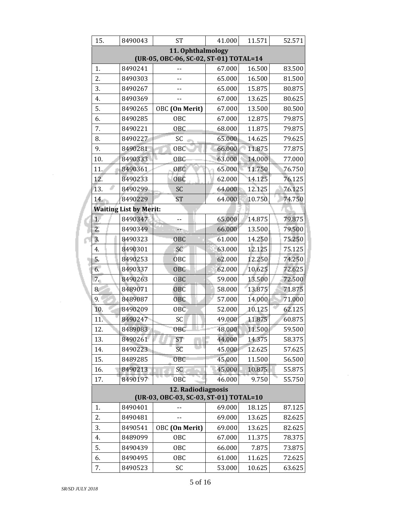| 11. Ophthalmology<br>(UR-05, OBC-06, SC-02, ST-01) TOTAL=14<br>8490241<br>67.000<br>16.500<br>1.<br>83.500<br>2.<br>8490303<br>65.000<br>16.500<br>81.500<br>3.<br>8490267<br>65.000<br>15.875<br>80.875<br>$-$<br>8490369<br>67.000<br>13.625<br>80.625<br>4.<br>$-$<br>5.<br><b>OBC</b> (On Merit)<br>13.500<br>80.500<br>8490265<br>67.000<br>8490285<br><b>OBC</b><br>12.875<br>6.<br>67.000<br>79.875<br>8490221<br><b>OBC</b><br>68.000<br>11.875<br>7.<br>79.875<br>65.000<br>8.<br>8490227<br>SC<br>14.625<br>79.625<br>66.000<br>11.875<br>9.<br>8490281<br>77.875<br><b>OBC</b><br>63.000<br>8490333<br>10.<br><b>OBC</b><br>14.000<br>77.000<br>65.000<br>11.750<br>76.750<br>11.<br>8490361<br><b>OBC</b><br>8490233<br>12.<br><b>OBC</b><br>14.125<br>76.125<br>62.000<br>13.<br>8490299<br>64.000<br>12.125<br>76.125<br>SC<br>8490229<br>10.750<br>74.750<br>14.<br>64.000<br><b>ST</b><br><b>Waiting List by Merit:</b><br>$\overline{1}$ .<br>8490347<br>65.000<br>14.875<br>79.875<br>66.000<br>2.<br>8490349<br>13.500<br>79.500<br>н.<br>3.<br>75.250<br>61.000<br>14.250<br>8490323<br><b>OBC</b><br>8490301<br>SC<br>12.125<br>4.<br>63.000<br>75.125<br>12.250<br>5.<br>74.250<br>8490253<br><b>OBC</b><br>62.000<br>6.<br>8490337<br><b>OBC</b><br>62.000<br>10.625<br>72.625<br>13.500<br>7.<br>8490263<br>59.000<br>72.500<br><b>OBC</b><br>OBC<br>13.875<br>8489071<br>71.875<br>58.000<br>8.<br>8489087<br><b>OBC</b><br>57.000<br>14.000<br>71.000<br>9.<br>62.125<br>10.125<br>10.<br>8490209<br><b>OBC</b><br>52.000<br>8490247<br>11.875<br>11.<br>SC<br>49.000<br>60.875<br>OBC<br>11.500<br>8489083<br>12.<br>48.000<br>59.500<br>8490261<br>14.375<br><b>ST</b><br>44.000<br>58.375<br>13.<br>14.<br>8490223<br>SC<br>45.000<br>12.625<br>57.625<br>15.<br>8489285<br><b>OBC</b><br>45.000<br>11.500<br>56.500<br>8490213<br><b>SC</b><br>45.000<br>10.875<br>16.<br>55.875<br>8490197<br>9.750<br>55.750<br>17.<br><b>OBC</b><br>46.000<br>12. Radiodiagnosis<br>(UR-03, OBC-03, SC-03, ST-01) TOTAL=10<br>8490401<br>87.125<br>1.<br>69.000<br>18.125<br>2.<br>69.000<br>13.625<br>8490481<br>82.625<br><b>OBC</b> (On Merit)<br>13.625<br>3.<br>8490541<br>69.000<br>82.625<br>11.375<br>8489099<br><b>OBC</b><br>67.000<br>78.375<br>4.<br>5.<br>8490439<br>66.000<br>7.875<br><b>OBC</b><br>73.875<br>11.625<br>6.<br>8490495<br>61.000<br>72.625<br>OBC | 15. | 8490043 | <b>ST</b> | 41.000 | 11.571 | 52.571 |  |  |  |
|--------------------------------------------------------------------------------------------------------------------------------------------------------------------------------------------------------------------------------------------------------------------------------------------------------------------------------------------------------------------------------------------------------------------------------------------------------------------------------------------------------------------------------------------------------------------------------------------------------------------------------------------------------------------------------------------------------------------------------------------------------------------------------------------------------------------------------------------------------------------------------------------------------------------------------------------------------------------------------------------------------------------------------------------------------------------------------------------------------------------------------------------------------------------------------------------------------------------------------------------------------------------------------------------------------------------------------------------------------------------------------------------------------------------------------------------------------------------------------------------------------------------------------------------------------------------------------------------------------------------------------------------------------------------------------------------------------------------------------------------------------------------------------------------------------------------------------------------------------------------------------------------------------------------------------------------------------------------------------------------------------------------------------------------------------------------------------------------------------------------------------------------------------------------------------------------------------------------------------------------------------------------------------------------------------------------------------------------------------------------------------------------------|-----|---------|-----------|--------|--------|--------|--|--|--|
|                                                                                                                                                                                                                                                                                                                                                                                                                                                                                                                                                                                                                                                                                                                                                                                                                                                                                                                                                                                                                                                                                                                                                                                                                                                                                                                                                                                                                                                                                                                                                                                                                                                                                                                                                                                                                                                                                                                                                                                                                                                                                                                                                                                                                                                                                                                                                                                                  |     |         |           |        |        |        |  |  |  |
|                                                                                                                                                                                                                                                                                                                                                                                                                                                                                                                                                                                                                                                                                                                                                                                                                                                                                                                                                                                                                                                                                                                                                                                                                                                                                                                                                                                                                                                                                                                                                                                                                                                                                                                                                                                                                                                                                                                                                                                                                                                                                                                                                                                                                                                                                                                                                                                                  |     |         |           |        |        |        |  |  |  |
|                                                                                                                                                                                                                                                                                                                                                                                                                                                                                                                                                                                                                                                                                                                                                                                                                                                                                                                                                                                                                                                                                                                                                                                                                                                                                                                                                                                                                                                                                                                                                                                                                                                                                                                                                                                                                                                                                                                                                                                                                                                                                                                                                                                                                                                                                                                                                                                                  |     |         |           |        |        |        |  |  |  |
|                                                                                                                                                                                                                                                                                                                                                                                                                                                                                                                                                                                                                                                                                                                                                                                                                                                                                                                                                                                                                                                                                                                                                                                                                                                                                                                                                                                                                                                                                                                                                                                                                                                                                                                                                                                                                                                                                                                                                                                                                                                                                                                                                                                                                                                                                                                                                                                                  |     |         |           |        |        |        |  |  |  |
|                                                                                                                                                                                                                                                                                                                                                                                                                                                                                                                                                                                                                                                                                                                                                                                                                                                                                                                                                                                                                                                                                                                                                                                                                                                                                                                                                                                                                                                                                                                                                                                                                                                                                                                                                                                                                                                                                                                                                                                                                                                                                                                                                                                                                                                                                                                                                                                                  |     |         |           |        |        |        |  |  |  |
|                                                                                                                                                                                                                                                                                                                                                                                                                                                                                                                                                                                                                                                                                                                                                                                                                                                                                                                                                                                                                                                                                                                                                                                                                                                                                                                                                                                                                                                                                                                                                                                                                                                                                                                                                                                                                                                                                                                                                                                                                                                                                                                                                                                                                                                                                                                                                                                                  |     |         |           |        |        |        |  |  |  |
|                                                                                                                                                                                                                                                                                                                                                                                                                                                                                                                                                                                                                                                                                                                                                                                                                                                                                                                                                                                                                                                                                                                                                                                                                                                                                                                                                                                                                                                                                                                                                                                                                                                                                                                                                                                                                                                                                                                                                                                                                                                                                                                                                                                                                                                                                                                                                                                                  |     |         |           |        |        |        |  |  |  |
|                                                                                                                                                                                                                                                                                                                                                                                                                                                                                                                                                                                                                                                                                                                                                                                                                                                                                                                                                                                                                                                                                                                                                                                                                                                                                                                                                                                                                                                                                                                                                                                                                                                                                                                                                                                                                                                                                                                                                                                                                                                                                                                                                                                                                                                                                                                                                                                                  |     |         |           |        |        |        |  |  |  |
|                                                                                                                                                                                                                                                                                                                                                                                                                                                                                                                                                                                                                                                                                                                                                                                                                                                                                                                                                                                                                                                                                                                                                                                                                                                                                                                                                                                                                                                                                                                                                                                                                                                                                                                                                                                                                                                                                                                                                                                                                                                                                                                                                                                                                                                                                                                                                                                                  |     |         |           |        |        |        |  |  |  |
|                                                                                                                                                                                                                                                                                                                                                                                                                                                                                                                                                                                                                                                                                                                                                                                                                                                                                                                                                                                                                                                                                                                                                                                                                                                                                                                                                                                                                                                                                                                                                                                                                                                                                                                                                                                                                                                                                                                                                                                                                                                                                                                                                                                                                                                                                                                                                                                                  |     |         |           |        |        |        |  |  |  |
|                                                                                                                                                                                                                                                                                                                                                                                                                                                                                                                                                                                                                                                                                                                                                                                                                                                                                                                                                                                                                                                                                                                                                                                                                                                                                                                                                                                                                                                                                                                                                                                                                                                                                                                                                                                                                                                                                                                                                                                                                                                                                                                                                                                                                                                                                                                                                                                                  |     |         |           |        |        |        |  |  |  |
|                                                                                                                                                                                                                                                                                                                                                                                                                                                                                                                                                                                                                                                                                                                                                                                                                                                                                                                                                                                                                                                                                                                                                                                                                                                                                                                                                                                                                                                                                                                                                                                                                                                                                                                                                                                                                                                                                                                                                                                                                                                                                                                                                                                                                                                                                                                                                                                                  |     |         |           |        |        |        |  |  |  |
|                                                                                                                                                                                                                                                                                                                                                                                                                                                                                                                                                                                                                                                                                                                                                                                                                                                                                                                                                                                                                                                                                                                                                                                                                                                                                                                                                                                                                                                                                                                                                                                                                                                                                                                                                                                                                                                                                                                                                                                                                                                                                                                                                                                                                                                                                                                                                                                                  |     |         |           |        |        |        |  |  |  |
|                                                                                                                                                                                                                                                                                                                                                                                                                                                                                                                                                                                                                                                                                                                                                                                                                                                                                                                                                                                                                                                                                                                                                                                                                                                                                                                                                                                                                                                                                                                                                                                                                                                                                                                                                                                                                                                                                                                                                                                                                                                                                                                                                                                                                                                                                                                                                                                                  |     |         |           |        |        |        |  |  |  |
|                                                                                                                                                                                                                                                                                                                                                                                                                                                                                                                                                                                                                                                                                                                                                                                                                                                                                                                                                                                                                                                                                                                                                                                                                                                                                                                                                                                                                                                                                                                                                                                                                                                                                                                                                                                                                                                                                                                                                                                                                                                                                                                                                                                                                                                                                                                                                                                                  |     |         |           |        |        |        |  |  |  |
|                                                                                                                                                                                                                                                                                                                                                                                                                                                                                                                                                                                                                                                                                                                                                                                                                                                                                                                                                                                                                                                                                                                                                                                                                                                                                                                                                                                                                                                                                                                                                                                                                                                                                                                                                                                                                                                                                                                                                                                                                                                                                                                                                                                                                                                                                                                                                                                                  |     |         |           |        |        |        |  |  |  |
|                                                                                                                                                                                                                                                                                                                                                                                                                                                                                                                                                                                                                                                                                                                                                                                                                                                                                                                                                                                                                                                                                                                                                                                                                                                                                                                                                                                                                                                                                                                                                                                                                                                                                                                                                                                                                                                                                                                                                                                                                                                                                                                                                                                                                                                                                                                                                                                                  |     |         |           |        |        |        |  |  |  |
|                                                                                                                                                                                                                                                                                                                                                                                                                                                                                                                                                                                                                                                                                                                                                                                                                                                                                                                                                                                                                                                                                                                                                                                                                                                                                                                                                                                                                                                                                                                                                                                                                                                                                                                                                                                                                                                                                                                                                                                                                                                                                                                                                                                                                                                                                                                                                                                                  |     |         |           |        |        |        |  |  |  |
|                                                                                                                                                                                                                                                                                                                                                                                                                                                                                                                                                                                                                                                                                                                                                                                                                                                                                                                                                                                                                                                                                                                                                                                                                                                                                                                                                                                                                                                                                                                                                                                                                                                                                                                                                                                                                                                                                                                                                                                                                                                                                                                                                                                                                                                                                                                                                                                                  |     |         |           |        |        |        |  |  |  |
|                                                                                                                                                                                                                                                                                                                                                                                                                                                                                                                                                                                                                                                                                                                                                                                                                                                                                                                                                                                                                                                                                                                                                                                                                                                                                                                                                                                                                                                                                                                                                                                                                                                                                                                                                                                                                                                                                                                                                                                                                                                                                                                                                                                                                                                                                                                                                                                                  |     |         |           |        |        |        |  |  |  |
|                                                                                                                                                                                                                                                                                                                                                                                                                                                                                                                                                                                                                                                                                                                                                                                                                                                                                                                                                                                                                                                                                                                                                                                                                                                                                                                                                                                                                                                                                                                                                                                                                                                                                                                                                                                                                                                                                                                                                                                                                                                                                                                                                                                                                                                                                                                                                                                                  |     |         |           |        |        |        |  |  |  |
|                                                                                                                                                                                                                                                                                                                                                                                                                                                                                                                                                                                                                                                                                                                                                                                                                                                                                                                                                                                                                                                                                                                                                                                                                                                                                                                                                                                                                                                                                                                                                                                                                                                                                                                                                                                                                                                                                                                                                                                                                                                                                                                                                                                                                                                                                                                                                                                                  |     |         |           |        |        |        |  |  |  |
|                                                                                                                                                                                                                                                                                                                                                                                                                                                                                                                                                                                                                                                                                                                                                                                                                                                                                                                                                                                                                                                                                                                                                                                                                                                                                                                                                                                                                                                                                                                                                                                                                                                                                                                                                                                                                                                                                                                                                                                                                                                                                                                                                                                                                                                                                                                                                                                                  |     |         |           |        |        |        |  |  |  |
|                                                                                                                                                                                                                                                                                                                                                                                                                                                                                                                                                                                                                                                                                                                                                                                                                                                                                                                                                                                                                                                                                                                                                                                                                                                                                                                                                                                                                                                                                                                                                                                                                                                                                                                                                                                                                                                                                                                                                                                                                                                                                                                                                                                                                                                                                                                                                                                                  |     |         |           |        |        |        |  |  |  |
|                                                                                                                                                                                                                                                                                                                                                                                                                                                                                                                                                                                                                                                                                                                                                                                                                                                                                                                                                                                                                                                                                                                                                                                                                                                                                                                                                                                                                                                                                                                                                                                                                                                                                                                                                                                                                                                                                                                                                                                                                                                                                                                                                                                                                                                                                                                                                                                                  |     |         |           |        |        |        |  |  |  |
|                                                                                                                                                                                                                                                                                                                                                                                                                                                                                                                                                                                                                                                                                                                                                                                                                                                                                                                                                                                                                                                                                                                                                                                                                                                                                                                                                                                                                                                                                                                                                                                                                                                                                                                                                                                                                                                                                                                                                                                                                                                                                                                                                                                                                                                                                                                                                                                                  |     |         |           |        |        |        |  |  |  |
|                                                                                                                                                                                                                                                                                                                                                                                                                                                                                                                                                                                                                                                                                                                                                                                                                                                                                                                                                                                                                                                                                                                                                                                                                                                                                                                                                                                                                                                                                                                                                                                                                                                                                                                                                                                                                                                                                                                                                                                                                                                                                                                                                                                                                                                                                                                                                                                                  |     |         |           |        |        |        |  |  |  |
|                                                                                                                                                                                                                                                                                                                                                                                                                                                                                                                                                                                                                                                                                                                                                                                                                                                                                                                                                                                                                                                                                                                                                                                                                                                                                                                                                                                                                                                                                                                                                                                                                                                                                                                                                                                                                                                                                                                                                                                                                                                                                                                                                                                                                                                                                                                                                                                                  |     |         |           |        |        |        |  |  |  |
|                                                                                                                                                                                                                                                                                                                                                                                                                                                                                                                                                                                                                                                                                                                                                                                                                                                                                                                                                                                                                                                                                                                                                                                                                                                                                                                                                                                                                                                                                                                                                                                                                                                                                                                                                                                                                                                                                                                                                                                                                                                                                                                                                                                                                                                                                                                                                                                                  |     |         |           |        |        |        |  |  |  |
|                                                                                                                                                                                                                                                                                                                                                                                                                                                                                                                                                                                                                                                                                                                                                                                                                                                                                                                                                                                                                                                                                                                                                                                                                                                                                                                                                                                                                                                                                                                                                                                                                                                                                                                                                                                                                                                                                                                                                                                                                                                                                                                                                                                                                                                                                                                                                                                                  |     |         |           |        |        |        |  |  |  |
|                                                                                                                                                                                                                                                                                                                                                                                                                                                                                                                                                                                                                                                                                                                                                                                                                                                                                                                                                                                                                                                                                                                                                                                                                                                                                                                                                                                                                                                                                                                                                                                                                                                                                                                                                                                                                                                                                                                                                                                                                                                                                                                                                                                                                                                                                                                                                                                                  |     |         |           |        |        |        |  |  |  |
|                                                                                                                                                                                                                                                                                                                                                                                                                                                                                                                                                                                                                                                                                                                                                                                                                                                                                                                                                                                                                                                                                                                                                                                                                                                                                                                                                                                                                                                                                                                                                                                                                                                                                                                                                                                                                                                                                                                                                                                                                                                                                                                                                                                                                                                                                                                                                                                                  |     |         |           |        |        |        |  |  |  |
|                                                                                                                                                                                                                                                                                                                                                                                                                                                                                                                                                                                                                                                                                                                                                                                                                                                                                                                                                                                                                                                                                                                                                                                                                                                                                                                                                                                                                                                                                                                                                                                                                                                                                                                                                                                                                                                                                                                                                                                                                                                                                                                                                                                                                                                                                                                                                                                                  |     |         |           |        |        |        |  |  |  |
|                                                                                                                                                                                                                                                                                                                                                                                                                                                                                                                                                                                                                                                                                                                                                                                                                                                                                                                                                                                                                                                                                                                                                                                                                                                                                                                                                                                                                                                                                                                                                                                                                                                                                                                                                                                                                                                                                                                                                                                                                                                                                                                                                                                                                                                                                                                                                                                                  |     |         |           |        |        |        |  |  |  |
|                                                                                                                                                                                                                                                                                                                                                                                                                                                                                                                                                                                                                                                                                                                                                                                                                                                                                                                                                                                                                                                                                                                                                                                                                                                                                                                                                                                                                                                                                                                                                                                                                                                                                                                                                                                                                                                                                                                                                                                                                                                                                                                                                                                                                                                                                                                                                                                                  |     |         |           |        |        |        |  |  |  |
|                                                                                                                                                                                                                                                                                                                                                                                                                                                                                                                                                                                                                                                                                                                                                                                                                                                                                                                                                                                                                                                                                                                                                                                                                                                                                                                                                                                                                                                                                                                                                                                                                                                                                                                                                                                                                                                                                                                                                                                                                                                                                                                                                                                                                                                                                                                                                                                                  |     |         |           |        |        |        |  |  |  |
|                                                                                                                                                                                                                                                                                                                                                                                                                                                                                                                                                                                                                                                                                                                                                                                                                                                                                                                                                                                                                                                                                                                                                                                                                                                                                                                                                                                                                                                                                                                                                                                                                                                                                                                                                                                                                                                                                                                                                                                                                                                                                                                                                                                                                                                                                                                                                                                                  |     |         |           |        |        |        |  |  |  |
|                                                                                                                                                                                                                                                                                                                                                                                                                                                                                                                                                                                                                                                                                                                                                                                                                                                                                                                                                                                                                                                                                                                                                                                                                                                                                                                                                                                                                                                                                                                                                                                                                                                                                                                                                                                                                                                                                                                                                                                                                                                                                                                                                                                                                                                                                                                                                                                                  |     |         |           |        |        |        |  |  |  |
|                                                                                                                                                                                                                                                                                                                                                                                                                                                                                                                                                                                                                                                                                                                                                                                                                                                                                                                                                                                                                                                                                                                                                                                                                                                                                                                                                                                                                                                                                                                                                                                                                                                                                                                                                                                                                                                                                                                                                                                                                                                                                                                                                                                                                                                                                                                                                                                                  |     |         |           |        |        |        |  |  |  |
|                                                                                                                                                                                                                                                                                                                                                                                                                                                                                                                                                                                                                                                                                                                                                                                                                                                                                                                                                                                                                                                                                                                                                                                                                                                                                                                                                                                                                                                                                                                                                                                                                                                                                                                                                                                                                                                                                                                                                                                                                                                                                                                                                                                                                                                                                                                                                                                                  |     |         |           |        |        |        |  |  |  |
|                                                                                                                                                                                                                                                                                                                                                                                                                                                                                                                                                                                                                                                                                                                                                                                                                                                                                                                                                                                                                                                                                                                                                                                                                                                                                                                                                                                                                                                                                                                                                                                                                                                                                                                                                                                                                                                                                                                                                                                                                                                                                                                                                                                                                                                                                                                                                                                                  |     |         |           |        |        |        |  |  |  |
|                                                                                                                                                                                                                                                                                                                                                                                                                                                                                                                                                                                                                                                                                                                                                                                                                                                                                                                                                                                                                                                                                                                                                                                                                                                                                                                                                                                                                                                                                                                                                                                                                                                                                                                                                                                                                                                                                                                                                                                                                                                                                                                                                                                                                                                                                                                                                                                                  | 7.  | 8490523 | SC        | 53.000 | 10.625 | 63.625 |  |  |  |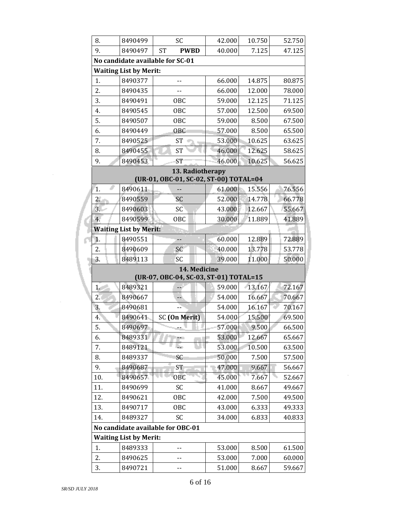| 8.  | 8490499                       | <b>SC</b>                                                  | 42.000 | 10.750 | 52.750 |
|-----|-------------------------------|------------------------------------------------------------|--------|--------|--------|
| 9.  | 8490497                       | <b>ST</b><br><b>PWBD</b>                                   | 40.000 | 7.125  | 47.125 |
|     |                               | No candidate available for SC-01                           |        |        |        |
|     | <b>Waiting List by Merit:</b> |                                                            |        |        |        |
| 1.  | 8490377                       |                                                            | 66.000 | 14.875 | 80.875 |
| 2.  | 8490435                       | --                                                         | 66.000 | 12.000 | 78.000 |
| 3.  | 8490491                       | OBC                                                        | 59.000 | 12.125 | 71.125 |
| 4.  | 8490545                       | OBC                                                        | 57.000 | 12.500 | 69.500 |
| 5.  | 8490507                       | <b>OBC</b>                                                 | 59.000 | 8.500  | 67.500 |
| 6.  | 8490449                       | <b>OBC</b>                                                 | 57.000 | 8.500  | 65.500 |
| 7.  | 8490525                       | <b>ST</b>                                                  | 53.000 | 10.625 | 63.625 |
| 8.  | 8490455                       | <b>ST</b>                                                  | 46.000 | 12.625 | 58.625 |
| 9.  | 8490453                       | <b>ST</b>                                                  | 46.000 | 10.625 | 56.625 |
|     |                               | 13. Radiotherapy<br>(UR-01, OBC-01, SC-02, ST-00) TOTAL=04 |        |        |        |
| 1.  | 8490611                       | --                                                         | 61.000 | 15.556 | 76.556 |
| 2.  | 8490559                       | SC                                                         | 52.000 | 14.778 | 66.778 |
| 3.  | 8490603                       | SC                                                         | 43.000 | 12.667 | 55.667 |
| 4.  | 8490599                       | <b>OBC</b>                                                 | 30.000 | 11.889 | 41.889 |
|     | <b>Waiting List by Merit:</b> |                                                            |        |        |        |
| 1.  | 8490551                       |                                                            | 60.000 | 12.889 | 72.889 |
| 2.  | 8490609                       | SC                                                         | 40.000 | 13.778 | 53.778 |
| 3.  | 8489113                       | SC                                                         | 39.000 | 11.000 | 50.000 |
|     |                               | 14. Medicine<br>(UR-07, OBC-04, SC-03, ST-01) TOTAL=15     |        |        |        |
| 1.  | 8489321                       |                                                            | 59.000 | 13.167 | 72.167 |
| 2.  | 8490667                       | --                                                         | 54.000 | 16.667 | 70.667 |
| 3.  | 8490681                       |                                                            | 54.000 | 16.167 | 70.167 |
| 4.  | 8490641                       | <b>SC</b> (On Merit)                                       | 54.000 | 15.500 | 69.500 |
| 5.  | 8490697                       | -−                                                         | 57.000 | 9.500  | 66.500 |
| 6.  | 8489331                       |                                                            | 53.000 | 12.667 | 65.667 |
| 7.  | 8489121                       |                                                            | 53.000 | 10.500 | 63.500 |
| 8.  | 8489337                       | SC                                                         | 50.000 | 7.500  | 57.500 |
| 9.  | 8490687                       | ST                                                         | 47.000 | 9.667  | 56.667 |
| 10. | 8490657                       | <b>OBC</b>                                                 | 45.000 | 7.667  | 52.667 |
| 11. | 8490699                       | SC                                                         | 41.000 | 8.667  | 49.667 |
| 12. | 8490621                       | <b>OBC</b>                                                 | 42.000 | 7.500  | 49.500 |
| 13. | 8490717                       | OBC                                                        | 43.000 | 6.333  | 49.333 |
| 14. | 8489327                       | SC                                                         | 34.000 | 6.833  | 40.833 |
|     |                               | No candidate available for OBC-01                          |        |        |        |
|     | <b>Waiting List by Merit:</b> |                                                            |        |        |        |
| 1.  | 8489333                       |                                                            | 53.000 | 8.500  | 61.500 |
| 2.  | 8490625                       | ۰.                                                         | 53.000 | 7.000  | 60.000 |
| 3.  | 8490721                       | --                                                         | 51.000 | 8.667  | 59.667 |
|     |                               |                                                            |        |        |        |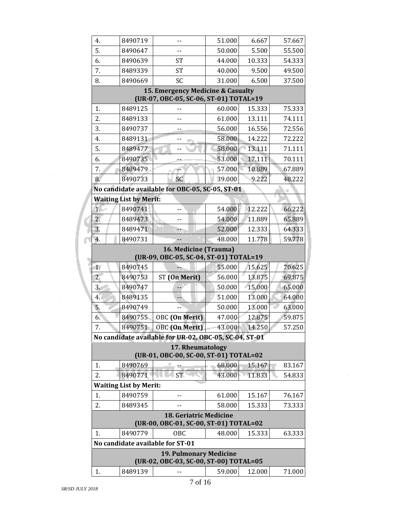| 4.                                                              | 8490719                       |                                                                         | 51.000 | 6.667  | 57.667 |  |  |  |  |
|-----------------------------------------------------------------|-------------------------------|-------------------------------------------------------------------------|--------|--------|--------|--|--|--|--|
| 5.                                                              | 8490647                       | --                                                                      | 50.000 | 5.500  | 55.500 |  |  |  |  |
| 6.                                                              | 8490639                       | <b>ST</b>                                                               | 44.000 | 10.333 | 54.333 |  |  |  |  |
| 7.                                                              | 8489339                       | <b>ST</b>                                                               | 40.000 | 9.500  | 49.500 |  |  |  |  |
| 8.                                                              | 8490669                       | SC                                                                      | 31.000 | 6.500  | 37.500 |  |  |  |  |
|                                                                 |                               | 15. Emergency Medicine & Casualty                                       |        |        |        |  |  |  |  |
| (UR-07, OBC-05, SC-06, ST-01) TOTAL=19                          |                               |                                                                         |        |        |        |  |  |  |  |
| 1.                                                              | 8489125                       |                                                                         | 60.000 | 15.333 | 75.333 |  |  |  |  |
| 2.                                                              | 8489133                       |                                                                         | 61.000 | 13.111 | 74.111 |  |  |  |  |
| 3.                                                              | 8490737                       |                                                                         | 56.000 | 16.556 | 72.556 |  |  |  |  |
| 4.                                                              | 8489131                       |                                                                         | 58.000 | 14.222 | 72.222 |  |  |  |  |
| 5.                                                              | 8489477                       |                                                                         | 58.000 | 13.111 | 71.111 |  |  |  |  |
| 6.                                                              | 8490735                       |                                                                         | 53.000 | 17.111 | 70.111 |  |  |  |  |
| 7.                                                              | 8489479                       |                                                                         | 57.000 | 10.889 | 67.889 |  |  |  |  |
| 8.                                                              | 8490733                       | SC                                                                      | 39.000 | 9.222  | 48.222 |  |  |  |  |
|                                                                 |                               | No candidate available for OBC-05, SC-05, ST-01                         |        |        |        |  |  |  |  |
|                                                                 | <b>Waiting List by Merit:</b> |                                                                         |        |        |        |  |  |  |  |
| 1.                                                              | 8490741                       | --                                                                      | 54.000 | 12.222 | 66.222 |  |  |  |  |
| $\overline{2}$ .                                                | 8489473                       |                                                                         | 54.000 | 11.889 | 65.889 |  |  |  |  |
| 3.                                                              | 8489471                       |                                                                         | 52.000 | 12.333 | 64.333 |  |  |  |  |
| 4.                                                              | 8490731                       |                                                                         | 48.000 | 11.778 | 59.778 |  |  |  |  |
| 16. Medicine (Trauma)<br>(UR-09, OBC-05, SC-04, ST-01) TOTAL=19 |                               |                                                                         |        |        |        |  |  |  |  |
| 1.                                                              | 8490745                       |                                                                         | 55.000 | 15.625 | 70.625 |  |  |  |  |
| 2.                                                              | 8490753                       | ST (On Merit)                                                           | 56.000 | 13.875 | 69.875 |  |  |  |  |
| 3 <sup>2</sup>                                                  | 8490747                       |                                                                         | 50.000 | 15.000 | 65.000 |  |  |  |  |
| 4.                                                              | 8489135                       |                                                                         | 51.000 | 13.000 | 64.000 |  |  |  |  |
| 5.                                                              | 8490749                       | --                                                                      | 50.000 | 13.000 | 63.000 |  |  |  |  |
| 6.                                                              | 8490755                       | <b>OBC</b> (On Merit)                                                   | 47.000 | 12.875 | 59.875 |  |  |  |  |
| 7.                                                              | 8490751                       | OBC (On Merit)   43.000                                                 |        | 14.250 | 57.250 |  |  |  |  |
|                                                                 |                               | No candidate available for UR-02, OBC-05, SC-04, ST-01                  |        |        |        |  |  |  |  |
|                                                                 |                               | 17. Rheumatology<br>(UR-01, OBC-00, SC-00, ST-01) TOTAL=02              |        |        |        |  |  |  |  |
| 1.                                                              | 8490769                       |                                                                         | 68.000 | 15.167 | 83.167 |  |  |  |  |
| 2.                                                              | 8490771                       | <b>ST</b>                                                               | 43.000 | 11.833 | 54.833 |  |  |  |  |
|                                                                 | <b>Waiting List by Merit:</b> |                                                                         |        |        |        |  |  |  |  |
| 1.                                                              | 8490759                       |                                                                         | 61.000 | 15.167 | 76.167 |  |  |  |  |
| 2.                                                              | 8489345                       |                                                                         | 58.000 | 15.333 | 73.333 |  |  |  |  |
|                                                                 |                               | <b>18. Geriatric Medicine</b><br>(UR-00, OBC-01, SC-00, ST-01) TOTAL=02 |        |        |        |  |  |  |  |
| 1.                                                              | 8490779                       | OBC                                                                     | 48.000 | 15.333 | 63.333 |  |  |  |  |
|                                                                 |                               | No candidate available for ST-01                                        |        |        |        |  |  |  |  |
|                                                                 |                               | <b>19. Pulmonary Medicine</b><br>(UR-02, OBC-03, SC-00, ST-00) TOTAL=05 |        |        |        |  |  |  |  |
| 1.                                                              | 8489139                       |                                                                         | 59.000 | 12.000 | 71.000 |  |  |  |  |
|                                                                 |                               |                                                                         |        |        |        |  |  |  |  |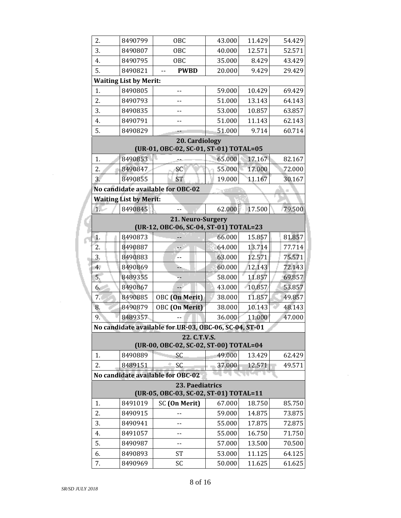| 2.                                                        | 8490799                       | <b>OBC</b>                                             | 43.000 | 11.429 | 54.429 |  |  |  |  |  |
|-----------------------------------------------------------|-------------------------------|--------------------------------------------------------|--------|--------|--------|--|--|--|--|--|
| 3.                                                        | 8490807                       | OBC                                                    | 40.000 | 12.571 | 52.571 |  |  |  |  |  |
| 4.                                                        | 8490795                       | OBC                                                    | 35.000 | 8.429  | 43.429 |  |  |  |  |  |
| 5.                                                        | 8490821                       | <b>PWBD</b><br>--                                      | 20.000 | 9.429  | 29.429 |  |  |  |  |  |
|                                                           | <b>Waiting List by Merit:</b> |                                                        |        |        |        |  |  |  |  |  |
| 1.                                                        | 8490805                       | --                                                     | 59.000 | 10.429 | 69.429 |  |  |  |  |  |
| 2.                                                        | 8490793                       |                                                        | 51.000 | 13.143 | 64.143 |  |  |  |  |  |
| 3.                                                        | 8490835                       | --                                                     | 53.000 | 10.857 | 63.857 |  |  |  |  |  |
| 4.                                                        | 8490791                       | $-$                                                    | 51.000 | 11.143 | 62.143 |  |  |  |  |  |
| 5.                                                        | 8490829                       |                                                        | 51.000 | 9.714  | 60.714 |  |  |  |  |  |
| 20. Cardiology                                            |                               |                                                        |        |        |        |  |  |  |  |  |
| (UR-01, OBC-02, SC-01, ST-01) TOTAL=05                    |                               |                                                        |        |        |        |  |  |  |  |  |
| 1.                                                        | 8490853                       |                                                        | 65.000 | 17.167 | 82.167 |  |  |  |  |  |
| 2.                                                        | 8490847                       | SC                                                     | 55.000 | 17.000 | 72.000 |  |  |  |  |  |
| 3.                                                        | 8490855                       | <b>ST</b>                                              | 19.000 | 11.167 | 30.167 |  |  |  |  |  |
|                                                           |                               | No candidate available for OBC-02                      |        |        |        |  |  |  |  |  |
|                                                           | <b>Waiting List by Merit:</b> |                                                        |        |        |        |  |  |  |  |  |
| 1.                                                        | 8490845                       |                                                        | 62.000 | 17.500 | 79.500 |  |  |  |  |  |
|                                                           |                               | 21. Neuro-Surgery                                      |        |        |        |  |  |  |  |  |
|                                                           |                               | (UR-12, OBC-06, SC-04, ST-01) TOTAL=23                 |        |        |        |  |  |  |  |  |
| 1.                                                        | 8490873                       |                                                        | 66.000 | 15.857 | 81.857 |  |  |  |  |  |
| 2.                                                        | 8490887                       | ÷                                                      | 64.000 | 13.714 | 77.714 |  |  |  |  |  |
| 3.                                                        | 8490883                       | --                                                     | 63.000 | 12.571 | 75.571 |  |  |  |  |  |
| 4.                                                        | 8490869                       | щ.                                                     | 60.000 | 12.143 | 72.143 |  |  |  |  |  |
| 5.                                                        | 8489355                       |                                                        | 58.000 | 11.857 | 69.857 |  |  |  |  |  |
| 6.                                                        | 8490867                       | --                                                     | 43.000 | 10.857 | 53.857 |  |  |  |  |  |
| 7.                                                        | 8490885                       | <b>OBC</b> (On Merit)                                  | 38.000 | 11.857 | 49.857 |  |  |  |  |  |
| 8.                                                        | 8490879                       | <b>OBC</b> (On Merit)                                  | 38.000 | 10.143 | 48.143 |  |  |  |  |  |
| 9.                                                        | 8489357                       |                                                        | 36.000 | 11.000 | 47.000 |  |  |  |  |  |
|                                                           |                               | No candidate available for UR-03, OBC-06, SC-04, ST-01 |        |        |        |  |  |  |  |  |
|                                                           |                               | 22. C.T.V.S.<br>(UR-00, OBC-02, SC-02, ST-00) TOTAL=04 |        |        |        |  |  |  |  |  |
| 1.                                                        | 8490889                       | SC                                                     | 49.000 | 13.429 | 62.429 |  |  |  |  |  |
| 2.                                                        | 8489151                       | SC                                                     | 37.000 | 12.571 | 49.571 |  |  |  |  |  |
|                                                           |                               | No candidate available for OBC-02                      |        |        |        |  |  |  |  |  |
| 23. Paediatrics<br>(UR-05, OBC-03, SC-02, ST-01) TOTAL=11 |                               |                                                        |        |        |        |  |  |  |  |  |
| 1.                                                        | 8491019                       | SC (On Merit)                                          | 67.000 | 18.750 | 85.750 |  |  |  |  |  |
| 2.                                                        | 8490915                       |                                                        | 59.000 | 14.875 | 73.875 |  |  |  |  |  |
| 3.                                                        | 8490941                       | --                                                     | 55.000 | 17.875 | 72.875 |  |  |  |  |  |
| 4.                                                        | 8491057                       | --                                                     | 55.000 | 16.750 | 71.750 |  |  |  |  |  |
| 5.                                                        | 8490987                       | --                                                     | 57.000 | 13.500 | 70.500 |  |  |  |  |  |
| 6.                                                        | 8490893                       | <b>ST</b>                                              | 53.000 | 11.125 | 64.125 |  |  |  |  |  |
| 7.                                                        | 8490969                       | SC                                                     | 50.000 | 11.625 | 61.625 |  |  |  |  |  |
|                                                           |                               |                                                        |        |        |        |  |  |  |  |  |

ß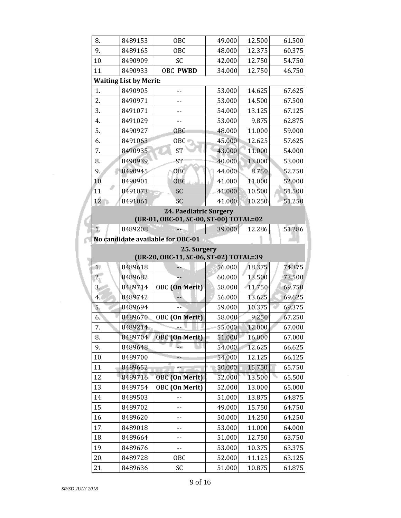| 8.  | 8489153                       | <b>OBC</b>                                                       | 49.000 | 12.500 | 61.500 |
|-----|-------------------------------|------------------------------------------------------------------|--------|--------|--------|
| 9.  | 8489165                       | <b>OBC</b>                                                       | 48.000 | 12.375 | 60.375 |
| 10. | 8490909                       | <b>SC</b>                                                        | 42.000 | 12.750 | 54.750 |
| 11. | 8490933                       | <b>OBC PWBD</b>                                                  | 34.000 | 12.750 | 46.750 |
|     | <b>Waiting List by Merit:</b> |                                                                  |        |        |        |
| 1.  | 8490905                       | --                                                               | 53.000 | 14.625 | 67.625 |
| 2.  | 8490971                       | --                                                               | 53.000 | 14.500 | 67.500 |
| 3.  | 8491071                       | $-$                                                              | 54.000 | 13.125 | 67.125 |
| 4.  | 8491029                       | --                                                               | 53.000 | 9.875  | 62.875 |
| 5.  | 8490927                       | <b>OBC</b>                                                       | 48.000 | 11.000 | 59.000 |
| 6.  | 8491063                       | <b>OBC</b>                                                       | 45.000 | 12.625 | 57.625 |
| 7.  | 8490935                       | <b>ST</b>                                                        | 43.000 | 11.000 | 54.000 |
| 8.  | 8490939                       | <b>ST</b>                                                        | 40.000 | 13.000 | 53.000 |
| 9.  | 8490945                       | <b>OBC</b>                                                       | 44.000 | 8.750  | 52.750 |
| 10. | 8490901                       | <b>OBC</b>                                                       | 41.000 | 11.000 | 52.000 |
| 11. | 8491073                       | SC                                                               | 41.000 | 10.500 | 51.500 |
| 12. | 8491061                       | SC                                                               | 41.000 | 10.250 | 51.250 |
|     |                               | 24. Paediatric Surgery<br>(UR-01, OBC-01, SC-00, ST-00) TOTAL=02 |        |        |        |
| 1.  | 8489208                       |                                                                  | 39.000 | 12.286 | 51.286 |
|     |                               | No candidate available for OBC-01                                |        |        |        |
|     |                               | 25. Surgery                                                      |        |        |        |
|     |                               | (UR-20, OBC-11, SC-06, ST-02) TOTAL=39                           |        |        |        |
| 1   | 8489618                       |                                                                  | 56.000 | 18.375 | 74.375 |
| 2.  | 8489682                       |                                                                  | 60.000 | 13.500 | 73.500 |
| 3.  | 8489714                       | <b>OBC</b> (On Merit)                                            | 58.000 | 11.750 | 69.750 |
| 4.  | 8489742                       |                                                                  | 56.000 | 13.625 | 69.625 |
| 5.  | 8489694                       |                                                                  | 59.000 | 10.375 | 69.375 |
| 6.  | 8489670                       | <b>OBC</b> (On Merit)                                            | 58.000 | 9.250  | 67.250 |
| 7.  | 8489214                       |                                                                  | 55.000 | 12.000 | 67.000 |
| 8.  | 8489704                       | <b>OBC</b> (On Merit)                                            | 51.000 | 16.000 | 67.000 |
| 9.  | 8489648                       |                                                                  | 54.000 | 12.625 | 66.625 |
| 10. | 8489700                       |                                                                  | 54.000 | 12.125 | 66.125 |
| 11. | 8489652                       |                                                                  | 50.000 | 15.750 | 65.750 |
| 12. | 8489716                       | <b>OBC</b> (On Merit)                                            | 52.000 | 13.500 | 65.500 |
| 13. | 8489754                       | <b>OBC</b> (On Merit)                                            | 52.000 | 13.000 | 65.000 |
| 14. | 8489503                       |                                                                  | 51.000 | 13.875 | 64.875 |
| 15. | 8489702                       | --                                                               | 49.000 | 15.750 | 64.750 |
| 16. | 8489620                       |                                                                  | 50.000 | 14.250 | 64.250 |
| 17. | 8489018                       | --                                                               | 53.000 | 11.000 | 64.000 |
| 18. | 8489664                       | --                                                               | 51.000 | 12.750 | 63.750 |
| 19. |                               |                                                                  |        |        |        |
|     | 8489676                       |                                                                  | 53.000 | 10.375 | 63.375 |
| 20. | 8489728                       | OBC                                                              | 52.000 | 11.125 | 63.125 |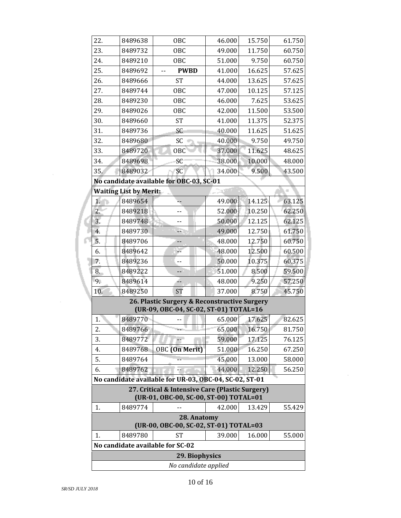| 22.                                                                                       | 8489638                       | <b>OBC</b>                                                                             | 46.000 | 15.750 | 61.750 |  |  |  |
|-------------------------------------------------------------------------------------------|-------------------------------|----------------------------------------------------------------------------------------|--------|--------|--------|--|--|--|
| 23.                                                                                       | 8489732                       | <b>OBC</b>                                                                             | 49.000 | 11.750 | 60.750 |  |  |  |
| 24.                                                                                       | 8489210                       | OBC                                                                                    | 51.000 | 9.750  | 60.750 |  |  |  |
| 25.                                                                                       | 8489692                       | <b>PWBD</b>                                                                            | 41.000 | 16.625 | 57.625 |  |  |  |
| 26.                                                                                       | 8489666                       | <b>ST</b>                                                                              | 44.000 | 13.625 | 57.625 |  |  |  |
| 27.                                                                                       | 8489744                       | <b>OBC</b>                                                                             | 47.000 | 10.125 | 57.125 |  |  |  |
| 28.                                                                                       | 8489230                       | <b>OBC</b>                                                                             | 46.000 | 7.625  | 53.625 |  |  |  |
| 29.                                                                                       | 8489026                       | <b>OBC</b>                                                                             | 42.000 | 11.500 | 53.500 |  |  |  |
| 30.                                                                                       | 8489660                       | <b>ST</b>                                                                              | 41.000 | 11.375 | 52.375 |  |  |  |
| 31.                                                                                       | 8489736                       | SC                                                                                     | 40.000 | 11.625 | 51.625 |  |  |  |
| 32.                                                                                       | 8489680                       | SC                                                                                     | 40.000 | 9.750  | 49.750 |  |  |  |
| 33.                                                                                       | 8489720                       | OBC                                                                                    | 37.000 | 11.625 | 48.625 |  |  |  |
| 34.                                                                                       | 8489698                       | SC                                                                                     | 38.000 | 10.000 | 48.000 |  |  |  |
| 35.                                                                                       | 8489032                       | SC                                                                                     | 34.000 | 9.500  | 43.500 |  |  |  |
|                                                                                           |                               | No candidate available for OBC-03, SC-01                                               |        |        |        |  |  |  |
|                                                                                           | <b>Waiting List by Merit:</b> |                                                                                        |        |        |        |  |  |  |
| 1.                                                                                        | 8489654                       |                                                                                        | 49.000 | 14.125 | 63.125 |  |  |  |
| $\overline{2}$ .                                                                          | 8489218                       |                                                                                        | 52.000 | 10.250 | 62.250 |  |  |  |
| 3.                                                                                        | 8489748                       | --                                                                                     | 50.000 | 12.125 | 62.125 |  |  |  |
| 4.                                                                                        | 8489730                       | a.                                                                                     | 49.000 | 12.750 | 61.750 |  |  |  |
| 5.                                                                                        | 8489706                       |                                                                                        | 48.000 | 12.750 | 60.750 |  |  |  |
| 6.                                                                                        | 8489642                       |                                                                                        | 48.000 | 12.500 | 60.500 |  |  |  |
| 7.                                                                                        | 8489236                       | --                                                                                     | 50.000 | 10.375 | 60.375 |  |  |  |
| 8.                                                                                        | 8489222                       |                                                                                        | 51.000 | 8.500  | 59.500 |  |  |  |
| 9.                                                                                        | 8489614                       |                                                                                        | 48.000 | 9.250  | 57.250 |  |  |  |
| 10.                                                                                       | 8489250                       | <b>ST</b>                                                                              | 37.000 | 8.750  | 45.750 |  |  |  |
|                                                                                           |                               | 26. Plastic Surgery & Reconstructive Surgery<br>(UR-09, OBC-04, SC-02, ST-01) TOTAL=16 |        |        |        |  |  |  |
| 1.                                                                                        | 8489770                       | --                                                                                     | 65.000 | 17.625 | 82.625 |  |  |  |
| 2.                                                                                        | 8489766                       |                                                                                        | 65.000 | 16.750 | 81.750 |  |  |  |
| 3.                                                                                        | 8489772                       |                                                                                        | 59.000 | 17.125 | 76.125 |  |  |  |
| 4.                                                                                        | 8489768                       | <b>OBC</b> (On Merit)                                                                  | 51.000 | 16.250 | 67.250 |  |  |  |
| 5.                                                                                        | 8489764                       |                                                                                        | 45.000 | 13.000 | 58.000 |  |  |  |
| 6.                                                                                        | 8489762                       |                                                                                        | 44.000 | 12.250 | 56.250 |  |  |  |
| No candidate available for UR-03, OBC-04, SC-02, ST-01                                    |                               |                                                                                        |        |        |        |  |  |  |
| 27. Critical & Intensive Care (Plastic Surgery)<br>(UR-01, OBC-00, SC-00, ST-00) TOTAL=01 |                               |                                                                                        |        |        |        |  |  |  |
| 1.                                                                                        | 8489774                       |                                                                                        | 42.000 | 13.429 | 55.429 |  |  |  |
|                                                                                           |                               | 28. Anatomy<br>(UR-00, OBC-00, SC-02, ST-01) TOTAL=03                                  |        |        |        |  |  |  |
| 1.                                                                                        | 8489780                       | <b>ST</b>                                                                              | 39.000 | 16.000 | 55.000 |  |  |  |
| No candidate available for SC-02                                                          |                               |                                                                                        |        |        |        |  |  |  |
| 29. Biophysics                                                                            |                               |                                                                                        |        |        |        |  |  |  |
| No candidate applied                                                                      |                               |                                                                                        |        |        |        |  |  |  |
|                                                                                           |                               |                                                                                        |        |        |        |  |  |  |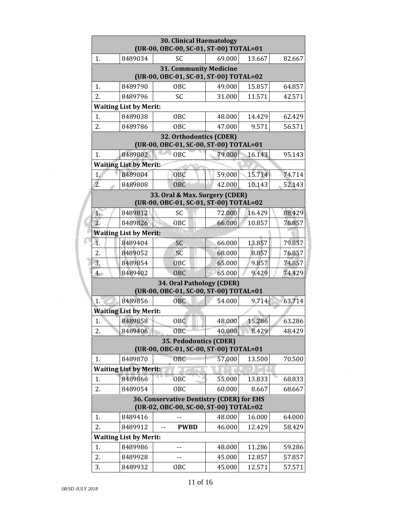| <b>30. Clinical Haematology</b><br>(UR-00, OBC-00, SC-01, ST-00) TOTAL=01 |                               |                                                                                     |        |        |        |  |  |  |
|---------------------------------------------------------------------------|-------------------------------|-------------------------------------------------------------------------------------|--------|--------|--------|--|--|--|
| 1.                                                                        | 8489034                       | SC                                                                                  | 69.000 | 13.667 | 82.667 |  |  |  |
| <b>31. Community Medicine</b><br>(UR-00, OBC-01, SC-01, ST-00) TOTAL=02   |                               |                                                                                     |        |        |        |  |  |  |
| 1.                                                                        | 8489790                       | <b>OBC</b>                                                                          | 49.000 | 15.857 | 64.857 |  |  |  |
| 2.                                                                        | 8489796                       | <b>SC</b>                                                                           | 31.000 | 11.571 | 42.571 |  |  |  |
|                                                                           | <b>Waiting List by Merit:</b> |                                                                                     |        |        |        |  |  |  |
| 1.                                                                        | 8489038                       | OBC                                                                                 | 48.000 | 14.429 | 62.429 |  |  |  |
| 2.                                                                        | 8489786                       | <b>OBC</b>                                                                          | 47.000 | 9.571  | 56.571 |  |  |  |
| 32. Orthodontics (CDER)<br>(UR-00, OBC-01, SC-00, ST-00) TOTAL=01         |                               |                                                                                     |        |        |        |  |  |  |
| 1.                                                                        | 8489802                       | OBC                                                                                 | 79.000 | 16.143 | 95.143 |  |  |  |
|                                                                           | <b>Waiting List by Merit:</b> |                                                                                     |        |        |        |  |  |  |
| 1.                                                                        | 8489804                       | OBC                                                                                 | 59.000 | 15.714 | 74.714 |  |  |  |
| 2.                                                                        | 8489808                       | <b>OBC</b>                                                                          | 42.000 | 10.143 | 52.143 |  |  |  |
|                                                                           |                               | 33. Oral & Max. Surgery (CDER)<br>(UR-00, OBC-01, SC-01, ST-00) TOTAL=02            |        |        |        |  |  |  |
| 1.                                                                        | 8489812                       | <b>SC</b>                                                                           | 72.000 | 16.429 | 88.429 |  |  |  |
| $\overline{2}$ .                                                          | 8489826                       | OBC                                                                                 | 66.000 | 10.857 | 76.857 |  |  |  |
|                                                                           | <b>Waiting List by Merit:</b> |                                                                                     |        |        |        |  |  |  |
| 1.                                                                        | 8489404                       | <b>SC</b>                                                                           | 66.000 | 13.857 | 79.857 |  |  |  |
| 2.                                                                        | 8489052                       | SC                                                                                  | 68.000 | 8.857  | 76.857 |  |  |  |
| 3.                                                                        | 8489854                       | OBC                                                                                 | 65.000 | 9.857  | 74.857 |  |  |  |
| 4.                                                                        | 8489402                       | OBC                                                                                 | 65.000 | 9.429  | 74.429 |  |  |  |
|                                                                           |                               | 34. Oral Pathology (CDER)<br>(UR-00, OBC-01, SC-00, ST-00) TOTAL=01                 |        |        |        |  |  |  |
| 1.                                                                        | 8489856                       | <b>OBC</b>                                                                          | 54.000 | 9.714  | 63.714 |  |  |  |
|                                                                           | <b>Waiting List by Merit:</b> |                                                                                     |        |        |        |  |  |  |
| 1.                                                                        | 8489858                       | <b>OBC</b>                                                                          | 48.000 | 15.286 | 63.286 |  |  |  |
| 2.                                                                        | 8489406                       | OBC                                                                                 | 40.000 | 8.429  | 48.429 |  |  |  |
|                                                                           |                               | 35. Pedodontics (CDER)<br>(UR-00, OBC-01, SC-00, ST-00) TOTAL=01                    |        |        |        |  |  |  |
| 1.                                                                        | 8489870                       | <b>OBC</b>                                                                          | 57.000 | 13.500 | 70.500 |  |  |  |
|                                                                           | <b>Waiting List by Merit:</b> |                                                                                     |        |        |        |  |  |  |
| 1.                                                                        | 8489866                       | <b>OBC</b>                                                                          | 55.000 | 13.833 | 68.833 |  |  |  |
| 2.                                                                        | 8489054                       | OBC                                                                                 | 60.000 | 8.667  | 68.667 |  |  |  |
|                                                                           |                               | 36. Conservative Dentistry (CDER) for EHS<br>(UR-02, OBC-00, SC-00, ST-00) TOTAL=02 |        |        |        |  |  |  |
| 1.                                                                        | 8489416                       |                                                                                     | 48.000 | 16.000 | 64.000 |  |  |  |
| 2.                                                                        | 8489912                       | <b>PWBD</b><br>--                                                                   | 46.000 | 12.429 | 58.429 |  |  |  |
|                                                                           | <b>Waiting List by Merit:</b> |                                                                                     |        |        |        |  |  |  |
| 1.                                                                        | 8489986                       | $-$                                                                                 | 48.000 | 11.286 | 59.286 |  |  |  |
| 2.                                                                        | 8489928                       | --                                                                                  | 45.000 | 12.857 | 57.857 |  |  |  |
| 3.                                                                        | 8489932                       | <b>OBC</b>                                                                          | 45.000 | 12.571 | 57.571 |  |  |  |
|                                                                           |                               |                                                                                     |        |        |        |  |  |  |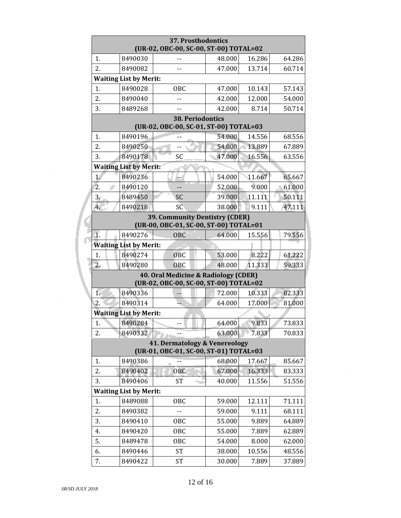| 37. Prosthodontics<br>(UR-02, OBC-00, SC-00, ST-00) TOTAL=02                    |                               |                                                                                    |        |        |        |  |  |
|---------------------------------------------------------------------------------|-------------------------------|------------------------------------------------------------------------------------|--------|--------|--------|--|--|
| 1.                                                                              | 8490030                       | --                                                                                 | 48.000 | 16.286 | 64.286 |  |  |
| 2.                                                                              | 8490082                       |                                                                                    | 47.000 | 13.714 | 60.714 |  |  |
|                                                                                 | <b>Waiting List by Merit:</b> |                                                                                    |        |        |        |  |  |
| 1.                                                                              | 8490028                       | OBC                                                                                | 47.000 | 10.143 | 57.143 |  |  |
| 2.                                                                              | 8490040                       |                                                                                    | 42.000 | 12.000 | 54.000 |  |  |
| 3.                                                                              | 8489268                       |                                                                                    | 42.000 | 8.714  | 50.714 |  |  |
|                                                                                 |                               | <b>38. Periodontics</b><br>(UR-02, OBC-00, SC-01, ST-00) TOTAL=03                  |        |        |        |  |  |
| 1.                                                                              | 8490196                       |                                                                                    | 54.000 | 14.556 | 68.556 |  |  |
| 2.                                                                              | 8490250                       |                                                                                    | 54.000 | 13.889 | 67.889 |  |  |
| 3.                                                                              | 8490178                       | SC                                                                                 | 47.000 | 16.556 | 63.556 |  |  |
|                                                                                 | <b>Waiting List by Merit:</b> |                                                                                    |        |        |        |  |  |
| 1.                                                                              | 8490236                       | Ļ.                                                                                 | 54.000 | 11.667 | 65.667 |  |  |
| $\overline{2}$ .                                                                | 8490120                       |                                                                                    | 52.000 | 9.000  | 61.000 |  |  |
| 3.                                                                              | 8489450                       | SC                                                                                 | 39.000 | 11.111 | 50.111 |  |  |
| 4.                                                                              | 8490218                       | SC                                                                                 | 38.000 | 9.111  | 47.111 |  |  |
| <b>39. Community Dentistry (CDER)</b><br>(UR-00, OBC-01, SC-00, ST-00) TOTAL=01 |                               |                                                                                    |        |        |        |  |  |
| $\overline{1}$ .                                                                | 8490276                       | OBC                                                                                | 64.000 | 15.556 | 79.556 |  |  |
|                                                                                 | <b>Waiting List by Merit:</b> |                                                                                    |        |        |        |  |  |
| 1.                                                                              | 8490274                       | <b>OBC</b>                                                                         | 53.000 | 8.222  | 61.222 |  |  |
| 2.                                                                              | 8490280                       | <b>OBC</b>                                                                         | 48.000 | 11.333 | 59.333 |  |  |
|                                                                                 |                               | 40. Oral Medicine & Radiology (CDER)<br>(UR-02, OBC-00, SC-00, ST-00) TOTAL=02     |        |        |        |  |  |
| 1.                                                                              | 8490336                       |                                                                                    | 72.000 | 10.333 | 82.333 |  |  |
| 2.                                                                              | 8490314                       |                                                                                    | 64.000 | 17.000 | 81.000 |  |  |
|                                                                                 | <b>Waiting List by Merit:</b> |                                                                                    |        |        |        |  |  |
| 1.                                                                              | 8490284                       | --                                                                                 | 64.000 | 9.833  | 73.833 |  |  |
| 2.                                                                              | 8490332                       |                                                                                    | 63.000 | 7.833  | 70.833 |  |  |
|                                                                                 |                               | <b>41. Dermatology &amp; Venereology</b><br>(UR-01, OBC-01, SC-00, ST-01) TOTAL=03 |        |        |        |  |  |
| 1.                                                                              | 8490386                       |                                                                                    | 68.000 | 17.667 | 85.667 |  |  |
| 2.                                                                              | 8490402                       | <b>OBC</b>                                                                         | 67.000 | 16.333 | 83.333 |  |  |
| 3.                                                                              | 8490406                       | <b>ST</b>                                                                          | 40.000 | 11.556 | 51.556 |  |  |
|                                                                                 | <b>Waiting List by Merit:</b> |                                                                                    |        |        |        |  |  |
| 1.                                                                              | 8489088                       | OBC                                                                                | 59.000 | 12.111 | 71.111 |  |  |
| 2.                                                                              | 8490382                       |                                                                                    | 59.000 | 9.111  | 68.111 |  |  |
| 3.                                                                              | 8490410                       | OBC                                                                                | 55.000 | 9.889  | 64.889 |  |  |
| 4.                                                                              | 8490420                       | OBC                                                                                | 55.000 | 7.889  | 62.889 |  |  |
| 5.                                                                              | 8489478                       | <b>OBC</b>                                                                         | 54.000 | 8.000  | 62.000 |  |  |
| 6.                                                                              | 8490446                       | <b>ST</b>                                                                          | 38.000 | 10.556 | 48.556 |  |  |
| 7.                                                                              | 8490422                       | <b>ST</b>                                                                          | 30.000 | 7.889  | 37.889 |  |  |

 $\mathcal{C}$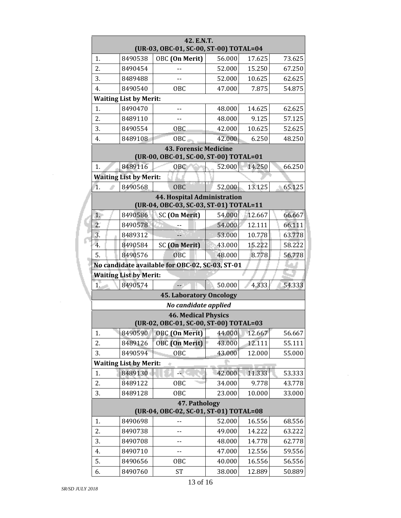| 42. E.N.T.<br>(UR-03, OBC-01, SC-00, ST-00) TOTAL=04                  |                                      |                                                                        |        |        |        |  |  |
|-----------------------------------------------------------------------|--------------------------------------|------------------------------------------------------------------------|--------|--------|--------|--|--|
| 1.                                                                    | 8490538                              | <b>OBC</b> (On Merit)                                                  | 56.000 | 17.625 | 73.625 |  |  |
| 2.                                                                    | 8490454                              |                                                                        | 52.000 | 15.250 | 67.250 |  |  |
| 3.                                                                    | 8489488                              |                                                                        | 52.000 | 10.625 | 62.625 |  |  |
| 4.                                                                    | 8490540                              | OBC                                                                    | 47.000 | 7.875  | 54.875 |  |  |
|                                                                       | <b>Waiting List by Merit:</b>        |                                                                        |        |        |        |  |  |
| 1.                                                                    | 8490470                              | $-$                                                                    | 48.000 | 14.625 | 62.625 |  |  |
| 2.                                                                    | 8489110                              | --                                                                     | 48.000 | 9.125  | 57.125 |  |  |
| 3.                                                                    | 8490554                              | OBC                                                                    | 42.000 | 10.625 | 52.625 |  |  |
| 4.                                                                    | 8489108                              | OBC                                                                    | 42.000 | 6.250  | 48.250 |  |  |
|                                                                       |                                      | <b>43. Forensic Medicine</b><br>(UR-00, OBC-01, SC-00, ST-00) TOTAL=01 |        |        |        |  |  |
| 1.                                                                    | 8489116                              | OBC                                                                    | 52.000 | 14.250 | 66.250 |  |  |
|                                                                       | <b>Waiting List by Merit:</b>        |                                                                        |        |        |        |  |  |
| 1.                                                                    | 8490568                              | <b>OBC</b>                                                             | 52.000 | 13.125 | 65.125 |  |  |
| 44. Hospital Administration<br>(UR-04, OBC-03, SC-03, ST-01) TOTAL=11 |                                      |                                                                        |        |        |        |  |  |
| 1.                                                                    | 8490586                              | SC (On Merit)                                                          | 54.000 | 12.667 | 66.667 |  |  |
| 2.                                                                    | 8490578                              |                                                                        | 54.000 | 12.111 | 66.111 |  |  |
| 3.                                                                    | 8489312                              |                                                                        | 53.000 | 10.778 | 63.778 |  |  |
| 4.                                                                    | 8490584                              | SC (On Merit)                                                          | 43.000 | 15.222 | 58.222 |  |  |
| 5.                                                                    | 8490576                              | <b>OBC</b>                                                             | 48.000 | 8.778  | 56.778 |  |  |
|                                                                       |                                      | No candidate available for OBC-02, SC-03, ST-01                        |        |        |        |  |  |
|                                                                       | <b>Waiting List by Merit:</b>        |                                                                        |        |        |        |  |  |
| 1.                                                                    | 8490574<br>50.000<br>4.333<br>54.333 |                                                                        |        |        |        |  |  |
| <b>45. Laboratory Oncology</b>                                        |                                      |                                                                        |        |        |        |  |  |
|                                                                       |                                      | No candidate applied                                                   |        |        |        |  |  |
| <b>46. Medical Physics</b><br>(UR-02, OBC-01, SC-00, ST-00) TOTAL=03  |                                      |                                                                        |        |        |        |  |  |
| 1.                                                                    | 8490590                              | <b>OBC</b> (On Merit)                                                  | 44.000 | 12.667 | 56.667 |  |  |
| 2.                                                                    | 8489126                              | <b>OBC</b> (On Merit)                                                  | 43.000 | 12.111 | 55.111 |  |  |
| 3.                                                                    | 8490594                              | <b>OBC</b>                                                             | 43.000 | 12.000 | 55.000 |  |  |
|                                                                       | <b>Waiting List by Merit:</b>        |                                                                        |        |        |        |  |  |
| 1.                                                                    | 8489130                              |                                                                        | 42.000 | 11.333 | 53.333 |  |  |
| 2.                                                                    | 8489122                              | <b>OBC</b>                                                             | 34.000 | 9.778  | 43.778 |  |  |
| 3.                                                                    | 8489128                              | OBC                                                                    | 23.000 | 10.000 | 33.000 |  |  |
| 47. Pathology<br>(UR-04, OBC-02, SC-01, ST-01) TOTAL=08               |                                      |                                                                        |        |        |        |  |  |
| 1.                                                                    | 8490698                              | --                                                                     | 52.000 | 16.556 | 68.556 |  |  |
| 2.                                                                    | 8490738                              | --                                                                     | 49.000 | 14.222 | 63.222 |  |  |
| 3.                                                                    | 8490708                              |                                                                        | 48.000 | 14.778 | 62.778 |  |  |
| 4.                                                                    | 8490710                              | --                                                                     | 47.000 | 12.556 | 59.556 |  |  |
| 5.                                                                    | 8490656                              | OBC                                                                    | 40.000 | 16.556 | 56.556 |  |  |
| 6.                                                                    | 8490760                              | <b>ST</b>                                                              | 38.000 | 12.889 | 50.889 |  |  |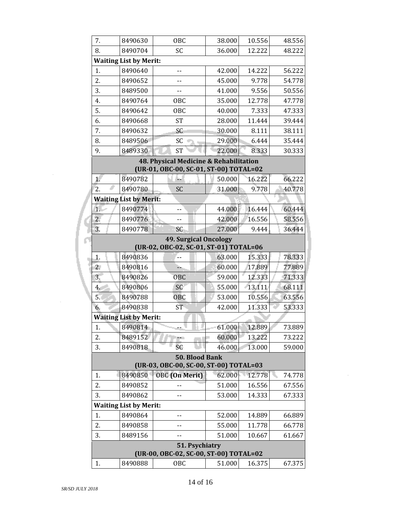|  | 7.                                                                     | 8490630                       | OBC                                    | 38.000           | 10.556           | 48.556           |  |  |
|--|------------------------------------------------------------------------|-------------------------------|----------------------------------------|------------------|------------------|------------------|--|--|
|  | 8.                                                                     | 8490704                       | SC                                     | 36.000           | 12.222           | 48.222           |  |  |
|  | <b>Waiting List by Merit:</b>                                          |                               |                                        |                  |                  |                  |  |  |
|  | 1.                                                                     | 8490640                       | $-$                                    | 42.000           | 14.222           | 56.222           |  |  |
|  | 2.                                                                     | 8490652                       | --                                     | 45.000           | 9.778            | 54.778           |  |  |
|  | 3.                                                                     | 8489500                       | --                                     | 41.000           | 9.556            | 50.556           |  |  |
|  | 4.                                                                     | 8490764                       | OBC                                    | 35.000           | 12.778           | 47.778           |  |  |
|  | 5.                                                                     | 8490642                       | <b>OBC</b>                             | 40.000           | 7.333            | 47.333           |  |  |
|  | 6.                                                                     | 8490668                       | <b>ST</b>                              | 28.000           | 11.444           | 39.444           |  |  |
|  | 7.                                                                     | 8490632                       | SC                                     | 30.000           | 8.111            | 38.111           |  |  |
|  | 8.                                                                     | 8489506                       | SC                                     | 29.000           | 6.444            | 35.444           |  |  |
|  | 9.                                                                     | 8489330                       | <b>ST</b>                              | 22.000           | 8.333            | 30.333           |  |  |
|  | 48. Physical Medicine & Rehabilitation                                 |                               |                                        |                  |                  |                  |  |  |
|  |                                                                        |                               | (UR-01, OBC-00, SC-01, ST-00) TOTAL=02 |                  |                  |                  |  |  |
|  | $\mathbf{1}$                                                           | 8490782                       |                                        | 50.000           | 16.222           | 66.222           |  |  |
|  | 2.                                                                     | 8490780                       | <b>SC</b>                              | 31.000           | 9.778            | 40.778           |  |  |
|  |                                                                        | <b>Waiting List by Merit:</b> |                                        |                  |                  |                  |  |  |
|  | 1.                                                                     | 8490774                       |                                        | 44.000           | 16.444           | 60.444           |  |  |
|  | 2.                                                                     | 8490776                       |                                        | 42.000           | 16.556           | 58.556           |  |  |
|  | 3.                                                                     | 8490778                       | SC                                     | 27.000           | 9.444            | 36.444           |  |  |
|  | <b>49. Surgical Oncology</b><br>(UR-02, OBC-02, SC-01, ST-01) TOTAL=06 |                               |                                        |                  |                  |                  |  |  |
|  |                                                                        | 8490836                       |                                        | 63.000           | 15.333           | 78.333           |  |  |
|  | 1.                                                                     |                               |                                        |                  |                  |                  |  |  |
|  | 2.<br>3.                                                               | 8490816<br>8490826            | -−                                     | 60.000<br>59.000 | 17.889<br>12.333 | 77.889<br>71.333 |  |  |
|  | 4.                                                                     | 8490806                       | <b>OBC</b><br>SC                       | 55.000           | 13.111           | 68.111           |  |  |
|  | 5.                                                                     | 8490788                       | <b>OBC</b>                             | 53.000           | 10.556           | 63.556           |  |  |
|  | 6.                                                                     | 8490838                       | <b>ST</b>                              | 42.000           | 11.333           | 53.333           |  |  |
|  |                                                                        | <b>Waiting List by Merit:</b> |                                        |                  |                  |                  |  |  |
|  | 1.                                                                     | 8490814                       |                                        | 61.000           | 12.889           | 73.889           |  |  |
|  | 2.                                                                     | 8489152                       |                                        | 60.000           | 13.222           | 73.222           |  |  |
|  | 3.                                                                     | 8490818                       | SC                                     | 46.000           | 13.000           | 59.000           |  |  |
|  |                                                                        |                               | <b>50. Blood Bank</b>                  |                  |                  |                  |  |  |
|  | (UR-03, OBC-00, SC-00, ST-00) TOTAL=03                                 |                               |                                        |                  |                  |                  |  |  |
|  | 1.                                                                     | 8490850                       | <b>OBC</b> (On Merit)                  | 62.000           | 12.778           | 74.778           |  |  |
|  | 2.                                                                     | 8490852                       |                                        | 51.000           | 16.556           | 67.556           |  |  |
|  | 3.                                                                     | 8490862                       |                                        | 53.000           | 14.333           | 67.333           |  |  |
|  | <b>Waiting List by Merit:</b>                                          |                               |                                        |                  |                  |                  |  |  |
|  | 1.                                                                     | 8490864                       |                                        | 52.000           | 14.889           | 66.889           |  |  |
|  | 2.                                                                     | 8490858                       |                                        | 55.000           | 11.778           | 66.778           |  |  |
|  | 3.                                                                     | 8489156                       |                                        | 51.000           | 10.667           | 61.667           |  |  |
|  | 51. Psychiatry                                                         |                               |                                        |                  |                  |                  |  |  |
|  | (UR-00, OBC-02, SC-00, ST-00) TOTAL=02                                 |                               |                                        |                  |                  |                  |  |  |
|  | 1.                                                                     | 8490888                       | <b>OBC</b>                             | 51.000           | 16.375           | 67.375           |  |  |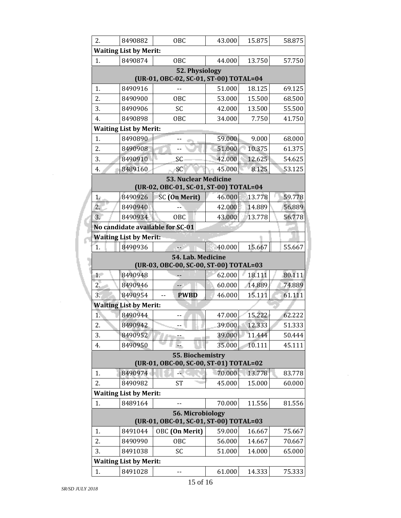| 2.                                                                    | 8490882                                                    | OBC                                    | 43.000 | 15.875 | 58.875           |  |  |  |
|-----------------------------------------------------------------------|------------------------------------------------------------|----------------------------------------|--------|--------|------------------|--|--|--|
|                                                                       | <b>Waiting List by Merit:</b>                              |                                        |        |        |                  |  |  |  |
| 1.                                                                    | 8490874                                                    | OBC                                    | 44.000 | 13.750 | 57.750           |  |  |  |
|                                                                       | 52. Physiology                                             |                                        |        |        |                  |  |  |  |
|                                                                       |                                                            | (UR-01, OBC-02, SC-01, ST-00) TOTAL=04 |        |        |                  |  |  |  |
| 1.                                                                    | 8490916                                                    |                                        | 51.000 | 18.125 | 69.125           |  |  |  |
| 2.                                                                    | 8490900                                                    | <b>OBC</b>                             | 53.000 | 15.500 | 68.500           |  |  |  |
| 3.                                                                    | 8490906                                                    | SC                                     | 42.000 | 13.500 | 55.500           |  |  |  |
| 4.                                                                    | 8490898                                                    | <b>OBC</b>                             | 34.000 | 7.750  | 41.750           |  |  |  |
|                                                                       | <b>Waiting List by Merit:</b>                              |                                        |        |        |                  |  |  |  |
| 1.                                                                    | 8490890                                                    |                                        | 59.000 | 9.000  | 68.000           |  |  |  |
| 2.                                                                    | 8490908                                                    |                                        | 51.000 | 10.375 | 61.375           |  |  |  |
| 3.                                                                    | 8490910                                                    | SC                                     | 42.000 | 12.625 | 54.625           |  |  |  |
| 4.                                                                    | 8489160                                                    | SC                                     | 45.000 | 8.125  | 53.125           |  |  |  |
| <b>53. Nuclear Medicine</b><br>(UR-02, OBC-01, SC-01, ST-00) TOTAL=04 |                                                            |                                        |        |        |                  |  |  |  |
|                                                                       | 8490926                                                    | <b>SC</b> (On Merit)                   | 46.000 | 13.778 |                  |  |  |  |
| 1 <sub>o</sub><br>$\overline{2}$ .                                    | 8490940                                                    |                                        | 42.000 | 14.889 | 59.778<br>56.889 |  |  |  |
| 3.                                                                    | 8490934                                                    | OBC                                    | 43.000 | 13.778 | 56.778           |  |  |  |
|                                                                       |                                                            |                                        |        |        |                  |  |  |  |
| No candidate available for SC-01<br><b>Waiting List by Merit:</b>     |                                                            |                                        |        |        |                  |  |  |  |
| 1.                                                                    | 8490936                                                    |                                        | 40.000 | 15.667 | 55.667           |  |  |  |
|                                                                       |                                                            |                                        |        |        |                  |  |  |  |
| 54. Lab. Medicine<br>(UR-03, OBC-00, SC-00, ST-00) TOTAL=03           |                                                            |                                        |        |        |                  |  |  |  |
| 1.                                                                    | 8490948                                                    |                                        | 62.000 | 18.111 | 80.111           |  |  |  |
| $\overline{2}$ .                                                      | 8490946                                                    | $-$                                    | 60.000 | 14.889 | 74.889           |  |  |  |
| 3.                                                                    | 8490954                                                    | <b>PWBD</b><br>$\mathbf{H}=\mathbf{H}$ | 46.000 | 15.111 | 61.111           |  |  |  |
|                                                                       | <b>Waiting List by Merit:</b>                              |                                        |        |        |                  |  |  |  |
| $\mathbf{1}$                                                          | 8490944                                                    | --                                     | 47.000 | 15.222 | 62.222           |  |  |  |
| 2.                                                                    | 8490942                                                    |                                        | 39.000 | 12.333 | 51.333           |  |  |  |
| 3.                                                                    | 8490952                                                    |                                        | 39.000 | 11.444 | 50.444           |  |  |  |
| 4.                                                                    | 8490950                                                    |                                        | 35.000 | 10.111 | 45.111           |  |  |  |
|                                                                       |                                                            | 55. Biochemistry                       |        |        |                  |  |  |  |
|                                                                       |                                                            | (UR-01, OBC-00, SC-00, ST-01) TOTAL=02 |        |        |                  |  |  |  |
| 1.                                                                    | 8490974                                                    |                                        | 70.000 | 13.778 | 83.778           |  |  |  |
| 2.                                                                    | 8490982                                                    | <b>ST</b>                              | 45.000 | 15.000 | 60.000           |  |  |  |
|                                                                       | <b>Waiting List by Merit:</b>                              |                                        |        |        |                  |  |  |  |
| 1.                                                                    | 8489164                                                    |                                        | 70.000 | 11.556 | 81.556           |  |  |  |
|                                                                       | 56. Microbiology<br>(UR-01, OBC-01, SC-01, ST-00) TOTAL=03 |                                        |        |        |                  |  |  |  |
| 1.                                                                    | 8491044                                                    | <b>OBC</b> (On Merit)                  | 59.000 | 16.667 | 75.667           |  |  |  |
| 2.                                                                    | 8490990                                                    | <b>OBC</b>                             | 56.000 | 14.667 | 70.667           |  |  |  |
| 3.                                                                    | 8491038                                                    | SC                                     | 51.000 | 14.000 | 65.000           |  |  |  |
|                                                                       | <b>Waiting List by Merit:</b>                              |                                        |        |        |                  |  |  |  |
| 1.                                                                    | 8491028                                                    | $-$                                    | 61.000 | 14.333 | 75.333           |  |  |  |

Ø